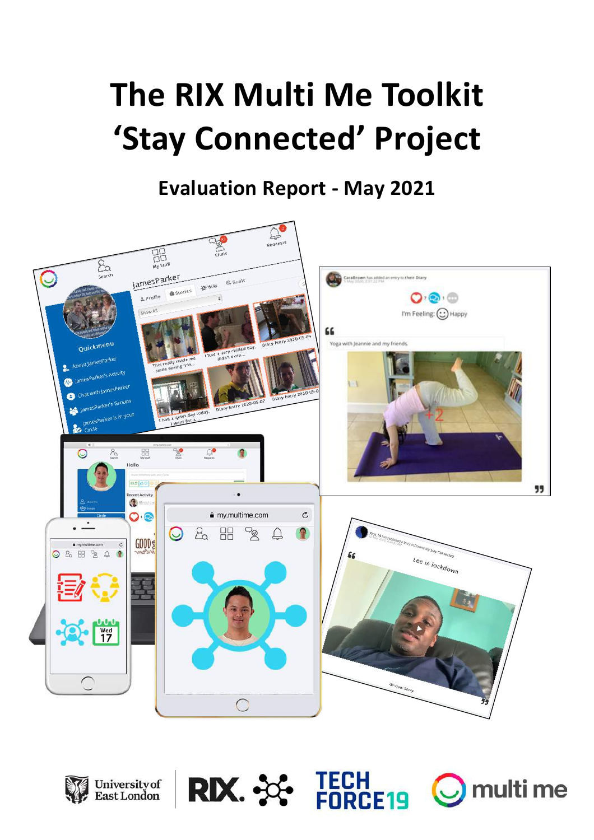# **The RIX Multi Me Toolkit 'Stay Connected' Project**

**Evaluation Report - May 2021**







**RIX. SSE TECH FORCE19** 

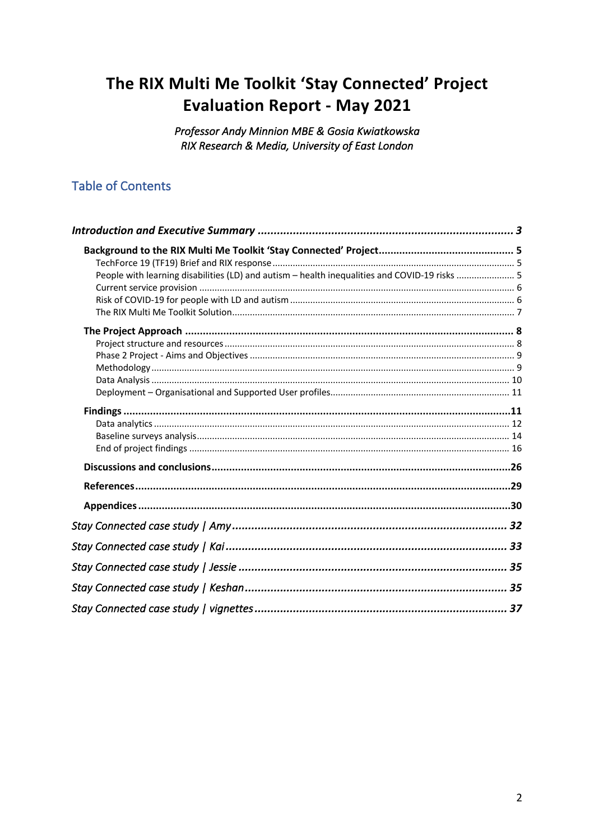# The RIX Multi Me Toolkit 'Stay Connected' Project **Evaluation Report - May 2021**

Professor Andy Minnion MBE & Gosia Kwiatkowska RIX Research & Media, University of East London

# **Table of Contents**

| People with learning disabilities (LD) and autism - health inequalities and COVID-19 risks  5 |  |
|-----------------------------------------------------------------------------------------------|--|
|                                                                                               |  |
|                                                                                               |  |
|                                                                                               |  |
|                                                                                               |  |
|                                                                                               |  |
|                                                                                               |  |
|                                                                                               |  |
|                                                                                               |  |
|                                                                                               |  |
|                                                                                               |  |
|                                                                                               |  |
|                                                                                               |  |
|                                                                                               |  |
|                                                                                               |  |
|                                                                                               |  |
|                                                                                               |  |
|                                                                                               |  |
|                                                                                               |  |
|                                                                                               |  |
|                                                                                               |  |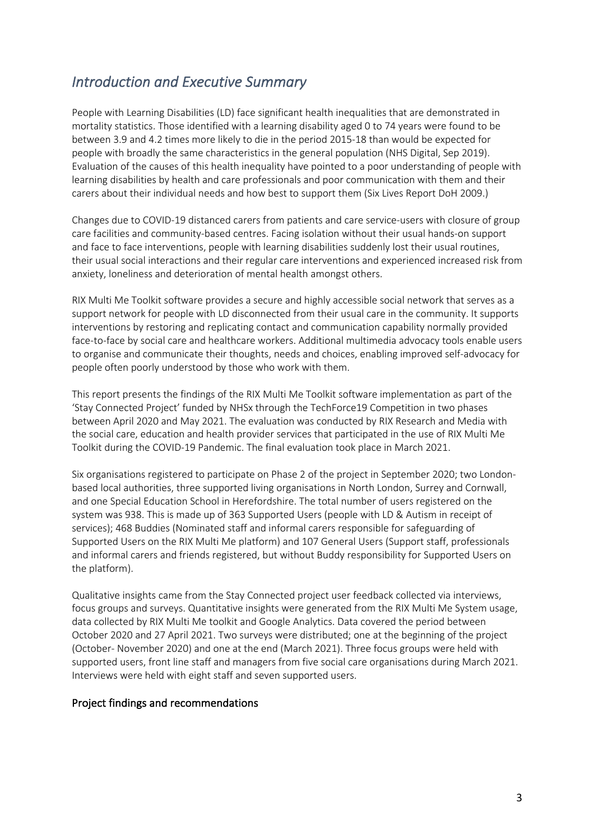# *Introduction and Executive Summary*

People with Learning Disabilities (LD) face significant health inequalities that are demonstrated in mortality statistics. Those identified with a learning disability aged 0 to 74 years were found to be between 3.9 and 4.2 times more likely to die in the period 2015-18 than would be expected for people with broadly the same characteristics in the general population (NHS Digital, Sep 2019). Evaluation of the causes of this health inequality have pointed to a poor understanding of people with learning disabilities by health and care professionals and poor communication with them and their carers about their individual needs and how best to support them (Six Lives Report DoH 2009.)

Changes due to COVID-19 distanced carers from patients and care service-users with closure of group care facilities and community-based centres. Facing isolation without their usual hands-on support and face to face interventions, people with learning disabilities suddenly lost their usual routines, their usual social interactions and their regular care interventions and experienced increased risk from anxiety, loneliness and deterioration of mental health amongst others.

RIX Multi Me Toolkit software provides a secure and highly accessible social network that serves as a support network for people with LD disconnected from their usual care in the community. It supports interventions by restoring and replicating contact and communication capability normally provided face-to-face by social care and healthcare workers. Additional multimedia advocacy tools enable users to organise and communicate their thoughts, needs and choices, enabling improved self-advocacy for people often poorly understood by those who work with them.

This report presents the findings of the RIX Multi Me Toolkit software implementation as part of the 'Stay Connected Project' funded by NHSx through the TechForce19 Competition in two phases between April 2020 and May 2021. The evaluation was conducted by RIX Research and Media with the social care, education and health provider services that participated in the use of RIX Multi Me Toolkit during the COVID-19 Pandemic. The final evaluation took place in March 2021.

Six organisations registered to participate on Phase 2 of the project in September 2020; two Londonbased local authorities, three supported living organisations in North London, Surrey and Cornwall, and one Special Education School in Herefordshire. The total number of users registered on the system was 938. This is made up of 363 Supported Users (people with LD & Autism in receipt of services); 468 Buddies (Nominated staff and informal carers responsible for safeguarding of Supported Users on the RIX Multi Me platform) and 107 General Users (Support staff, professionals and informal carers and friends registered, but without Buddy responsibility for Supported Users on the platform).

Qualitative insights came from the Stay Connected project user feedback collected via interviews, focus groups and surveys. Quantitative insights were generated from the RIX Multi Me System usage, data collected by RIX Multi Me toolkit and Google Analytics. Data covered the period between October 2020 and 27 April 2021. Two surveys were distributed; one at the beginning of the project (October- November 2020) and one at the end (March 2021). Three focus groups were held with supported users, front line staff and managers from five social care organisations during March 2021. Interviews were held with eight staff and seven supported users.

#### Project findings and recommendations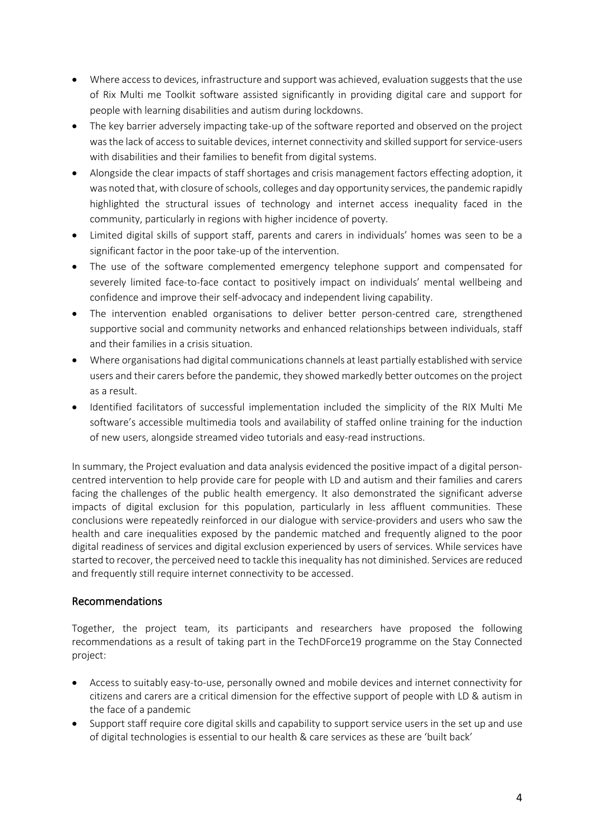- Where access to devices, infrastructure and support was achieved, evaluation suggests that the use of Rix Multi me Toolkit software assisted significantly in providing digital care and support for people with learning disabilities and autism during lockdowns.
- The key barrier adversely impacting take-up of the software reported and observed on the project was the lack of access to suitable devices, internet connectivity and skilled support for service-users with disabilities and their families to benefit from digital systems.
- Alongside the clear impacts of staff shortages and crisis management factors effecting adoption, it was noted that, with closure of schools, colleges and day opportunity services, the pandemic rapidly highlighted the structural issues of technology and internet access inequality faced in the community, particularly in regions with higher incidence of poverty.
- Limited digital skills of support staff, parents and carers in individuals' homes was seen to be a significant factor in the poor take-up of the intervention.
- The use of the software complemented emergency telephone support and compensated for severely limited face-to-face contact to positively impact on individuals' mental wellbeing and confidence and improve their self-advocacy and independent living capability.
- The intervention enabled organisations to deliver better person-centred care, strengthened supportive social and community networks and enhanced relationships between individuals, staff and their families in a crisis situation.
- Where organisations had digital communications channels at least partially established with service users and their carers before the pandemic, they showed markedly better outcomes on the project as a result.
- Identified facilitators of successful implementation included the simplicity of the RIX Multi Me software's accessible multimedia tools and availability of staffed online training for the induction of new users, alongside streamed video tutorials and easy-read instructions.

In summary, the Project evaluation and data analysis evidenced the positive impact of a digital personcentred intervention to help provide care for people with LD and autism and their families and carers facing the challenges of the public health emergency. It also demonstrated the significant adverse impacts of digital exclusion for this population, particularly in less affluent communities. These conclusions were repeatedly reinforced in our dialogue with service-providers and users who saw the health and care inequalities exposed by the pandemic matched and frequently aligned to the poor digital readiness of services and digital exclusion experienced by users of services. While services have started to recover, the perceived need to tackle this inequality has not diminished. Services are reduced and frequently still require internet connectivity to be accessed.

# Recommendations

Together, the project team, its participants and researchers have proposed the following recommendations as a result of taking part in the TechDForce19 programme on the Stay Connected project:

- Access to suitably easy-to-use, personally owned and mobile devices and internet connectivity for citizens and carers are a critical dimension for the effective support of people with LD & autism in the face of a pandemic
- Support staff require core digital skills and capability to support service users in the set up and use of digital technologies is essential to our health & care services as these are 'built back'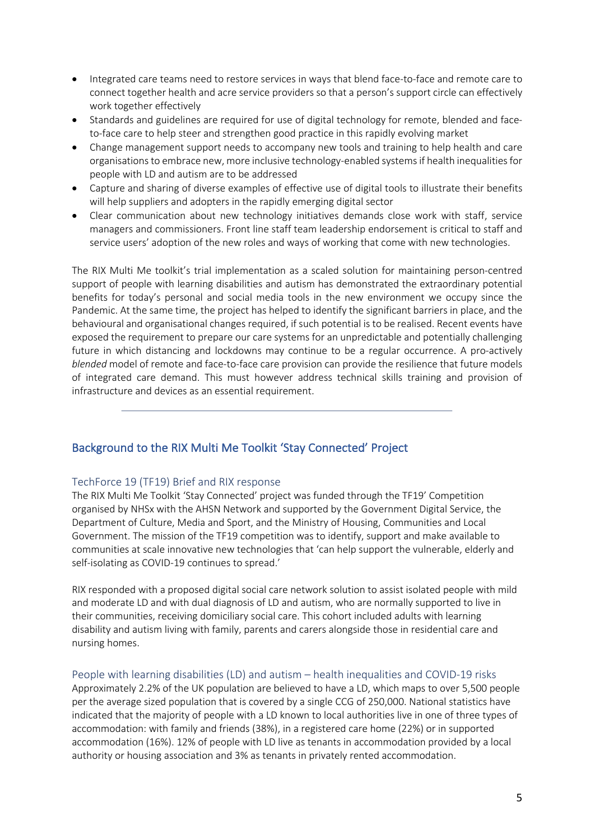- Integrated care teams need to restore services in ways that blend face-to-face and remote care to connect together health and acre service providers so that a person's support circle can effectively work together effectively
- Standards and guidelines are required for use of digital technology for remote, blended and faceto-face care to help steer and strengthen good practice in this rapidly evolving market
- Change management support needs to accompany new tools and training to help health and care organisations to embrace new, more inclusive technology-enabled systems if health inequalities for people with LD and autism are to be addressed
- Capture and sharing of diverse examples of effective use of digital tools to illustrate their benefits will help suppliers and adopters in the rapidly emerging digital sector
- Clear communication about new technology initiatives demands close work with staff, service managers and commissioners. Front line staff team leadership endorsement is critical to staff and service users' adoption of the new roles and ways of working that come with new technologies.

The RIX Multi Me toolkit's trial implementation as a scaled solution for maintaining person-centred support of people with learning disabilities and autism has demonstrated the extraordinary potential benefits for today's personal and social media tools in the new environment we occupy since the Pandemic. At the same time, the project has helped to identify the significant barriers in place, and the behavioural and organisational changes required, if such potential is to be realised. Recent events have exposed the requirement to prepare our care systems for an unpredictable and potentially challenging future in which distancing and lockdowns may continue to be a regular occurrence. A pro-actively *blended* model of remote and face-to-face care provision can provide the resilience that future models of integrated care demand. This must however address technical skills training and provision of infrastructure and devices as an essential requirement.

# Background to the RIX Multi Me Toolkit 'Stay Connected' Project

#### TechForce 19 (TF19) Brief and RIX response

The RIX Multi Me Toolkit 'Stay Connected' project was funded through the TF19' Competition organised by NHSx with the AHSN Network and supported by the Government Digital Service, the Department of Culture, Media and Sport, and the Ministry of Housing, Communities and Local Government. The mission of the TF19 competition was to identify, support and make available to communities at scale innovative new technologies that 'can help support the vulnerable, elderly and self-isolating as COVID-19 continues to spread.'

RIX responded with a proposed digital social care network solution to assist isolated people with mild and moderate LD and with dual diagnosis of LD and autism, who are normally supported to live in their communities, receiving domiciliary social care. This cohort included adults with learning disability and autism living with family, parents and carers alongside those in residential care and nursing homes.

#### People with learning disabilities (LD) and autism – health inequalities and COVID-19 risks

Approximately 2.2% of the UK population are believed to have a LD, which maps to over 5,500 people per the average sized population that is covered by a single CCG of 250,000. National statistics have indicated that the majority of people with a LD known to local authorities live in one of three types of accommodation: with family and friends (38%), in a registered care home (22%) or in supported accommodation (16%). 12% of people with LD live as tenants in accommodation provided by a local authority or housing association and 3% as tenants in privately rented accommodation.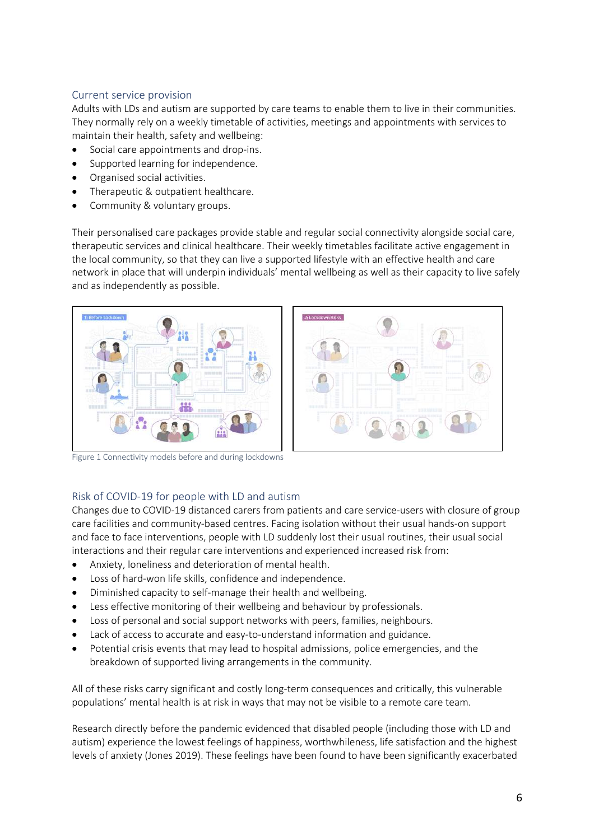# Current service provision

Adults with LDs and autism are supported by care teams to enable them to live in their communities. They normally rely on a weekly timetable of activities, meetings and appointments with services to maintain their health, safety and wellbeing:

- Social care appointments and drop-ins.
- Supported learning for independence.
- Organised social activities.
- Therapeutic & outpatient healthcare.
- Community & voluntary groups.

Their personalised care packages provide stable and regular social connectivity alongside social care, therapeutic services and clinical healthcare. Their weekly timetables facilitate active engagement in the local community, so that they can live a supported lifestyle with an effective health and care network in place that will underpin individuals' mental wellbeing as well as their capacity to live safely and as independently as possible.





Figure 1 Connectivity models before and during lockdowns

#### Risk of COVID-19 for people with LD and autism

Changes due to COVID-19 distanced carers from patients and care service-users with closure of group care facilities and community-based centres. Facing isolation without their usual hands-on support and face to face interventions, people with LD suddenly lost their usual routines, their usual social interactions and their regular care interventions and experienced increased risk from:

- Anxiety, loneliness and deterioration of mental health.
- Loss of hard-won life skills, confidence and independence.
- Diminished capacity to self-manage their health and wellbeing.
- Less effective monitoring of their wellbeing and behaviour by professionals.
- Loss of personal and social support networks with peers, families, neighbours.
- Lack of access to accurate and easy-to-understand information and guidance.
- Potential crisis events that may lead to hospital admissions, police emergencies, and the breakdown of supported living arrangements in the community.

All of these risks carry significant and costly long-term consequences and critically, this vulnerable populations' mental health is at risk in ways that may not be visible to a remote care team.

Research directly before the pandemic evidenced that disabled people (including those with LD and autism) experience the lowest feelings of happiness, worthwhileness, life satisfaction and the highest levels of anxiety (Jones 2019). These feelings have been found to have been significantly exacerbated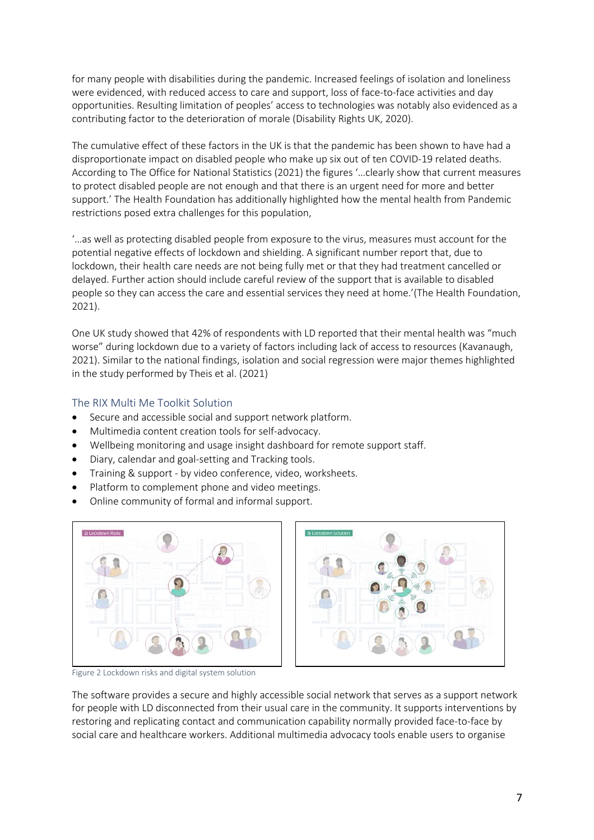for many people with disabilities during the pandemic. Increased feelings of isolation and loneliness were evidenced, with reduced access to care and support, loss of face-to-face activities and day opportunities. Resulting limitation of peoples' access to technologies was notably also evidenced as a contributing factor to the deterioration of morale (Disability Rights UK, 2020).

The cumulative effect of these factors in the UK is that the pandemic has been shown to have had a disproportionate impact on disabled people who make up six out of ten COVID-19 related deaths. According to The Office for National Statistics (2021) the figures '…clearly show that current measures to protect disabled people are not enough and that there is an urgent need for more and better support.' The Health Foundation has additionally highlighted how the mental health from Pandemic restrictions posed extra challenges for this population,

'…as well as protecting disabled people from exposure to the virus, measures must account for the potential negative effects of lockdown and shielding. A significant number report that, due to lockdown, their health care needs are not being fully met or that they had treatment cancelled or delayed. Further action should include careful review of the support that is available to disabled people so they can access the care and essential services they need at home.'(The Health Foundation, 2021).

One UK study showed that 42% of respondents with LD reported that their mental health was "much worse" during lockdown due to a variety of factors including lack of access to resources (Kavanaugh, 2021). Similar to the national findings, isolation and social regression were major themes highlighted in the study performed by Theis et al. (2021)

# The RIX Multi Me Toolkit Solution

- Secure and accessible social and support network platform.
- Multimedia content creation tools for self-advocacy.
- Wellbeing monitoring and usage insight dashboard for remote support staff.
- Diary, calendar and goal-setting and Tracking tools.
- Training & support by video conference, video, worksheets.
- Platform to complement phone and video meetings.
- Online community of formal and informal support.





Figure 2 Lockdown risks and digital system solution

The software provides a secure and highly accessible social network that serves as a support network for people with LD disconnected from their usual care in the community. It supports interventions by restoring and replicating contact and communication capability normally provided face-to-face by social care and healthcare workers. Additional multimedia advocacy tools enable users to organise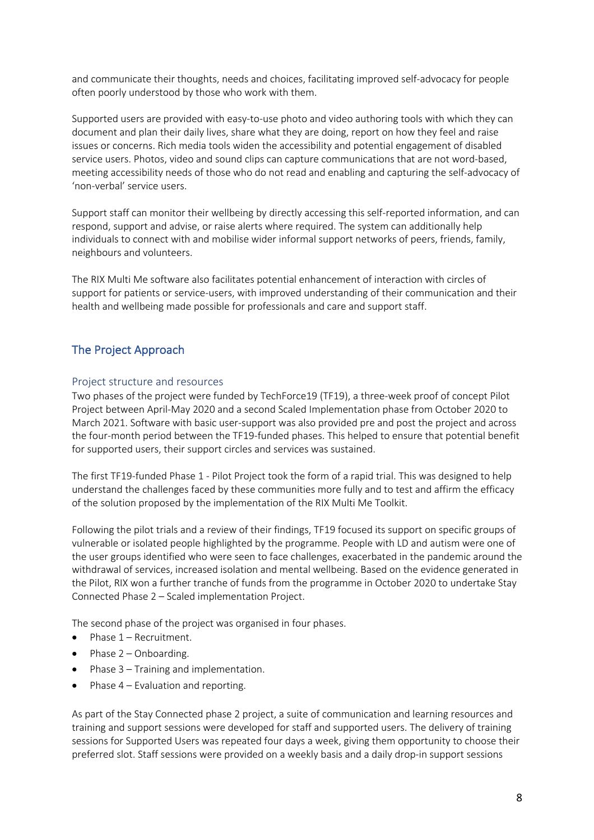and communicate their thoughts, needs and choices, facilitating improved self-advocacy for people often poorly understood by those who work with them.

Supported users are provided with easy-to-use photo and video authoring tools with which they can document and plan their daily lives, share what they are doing, report on how they feel and raise issues or concerns. Rich media tools widen the accessibility and potential engagement of disabled service users. Photos, video and sound clips can capture communications that are not word-based, meeting accessibility needs of those who do not read and enabling and capturing the self-advocacy of 'non-verbal' service users.

Support staff can monitor their wellbeing by directly accessing this self-reported information, and can respond, support and advise, or raise alerts where required. The system can additionally help individuals to connect with and mobilise wider informal support networks of peers, friends, family, neighbours and volunteers.

The RIX Multi Me software also facilitates potential enhancement of interaction with circles of support for patients or service-users, with improved understanding of their communication and their health and wellbeing made possible for professionals and care and support staff.

# The Project Approach

#### Project structure and resources

Two phases of the project were funded by TechForce19 (TF19), a three-week proof of concept Pilot Project between April-May 2020 and a second Scaled Implementation phase from October 2020 to March 2021. Software with basic user-support was also provided pre and post the project and across the four-month period between the TF19-funded phases. This helped to ensure that potential benefit for supported users, their support circles and services was sustained.

The first TF19-funded Phase 1 - Pilot Project took the form of a rapid trial. This was designed to help understand the challenges faced by these communities more fully and to test and affirm the efficacy of the solution proposed by the implementation of the RIX Multi Me Toolkit.

Following the pilot trials and a review of their findings, TF19 focused its support on specific groups of vulnerable or isolated people highlighted by the programme. People with LD and autism were one of the user groups identified who were seen to face challenges, exacerbated in the pandemic around the withdrawal of services, increased isolation and mental wellbeing. Based on the evidence generated in the Pilot, RIX won a further tranche of funds from the programme in October 2020 to undertake Stay Connected Phase 2 – Scaled implementation Project.

The second phase of the project was organised in four phases.

- $\bullet$  Phase  $1 -$  Recruitment.
- $\bullet$  Phase 2 Onboarding.
- Phase 3 Training and implementation.
- Phase 4 Evaluation and reporting.

As part of the Stay Connected phase 2 project, a suite of communication and learning resources and training and support sessions were developed for staff and supported users. The delivery of training sessions for Supported Users was repeated four days a week, giving them opportunity to choose their preferred slot. Staff sessions were provided on a weekly basis and a daily drop-in support sessions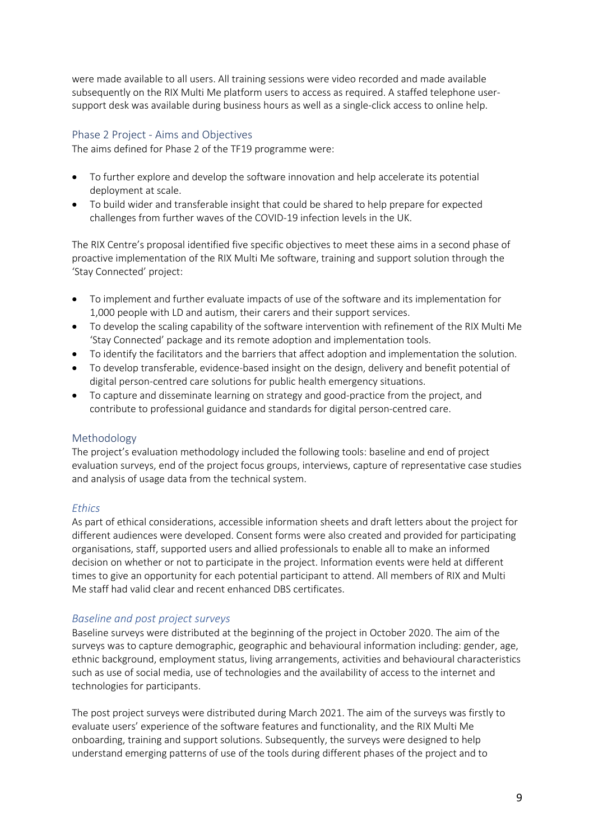were made available to all users. All training sessions were video recorded and made available subsequently on the RIX Multi Me platform users to access as required. A staffed telephone usersupport desk was available during business hours as well as a single-click access to online help.

# Phase 2 Project - Aims and Objectives

The aims defined for Phase 2 of the TF19 programme were:

- To further explore and develop the software innovation and help accelerate its potential deployment at scale.
- To build wider and transferable insight that could be shared to help prepare for expected challenges from further waves of the COVID-19 infection levels in the UK.

The RIX Centre's proposal identified five specific objectives to meet these aims in a second phase of proactive implementation of the RIX Multi Me software, training and support solution through the 'Stay Connected' project:

- To implement and further evaluate impacts of use of the software and its implementation for 1,000 people with LD and autism, their carers and their support services.
- To develop the scaling capability of the software intervention with refinement of the RIX Multi Me 'Stay Connected' package and its remote adoption and implementation tools.
- To identify the facilitators and the barriers that affect adoption and implementation the solution.
- To develop transferable, evidence-based insight on the design, delivery and benefit potential of digital person-centred care solutions for public health emergency situations.
- To capture and disseminate learning on strategy and good-practice from the project, and contribute to professional guidance and standards for digital person-centred care.

#### Methodology

The project's evaluation methodology included the following tools: baseline and end of project evaluation surveys, end of the project focus groups, interviews, capture of representative case studies and analysis of usage data from the technical system.

#### *Ethics*

As part of ethical considerations, accessible information sheets and draft letters about the project for different audiences were developed. Consent forms were also created and provided for participating organisations, staff, supported users and allied professionals to enable all to make an informed decision on whether or not to participate in the project. Information events were held at different times to give an opportunity for each potential participant to attend. All members of RIX and Multi Me staff had valid clear and recent enhanced DBS certificates.

#### *Baseline and post project surveys*

Baseline surveys were distributed at the beginning of the project in October 2020. The aim of the surveys was to capture demographic, geographic and behavioural information including: gender, age, ethnic background, employment status, living arrangements, activities and behavioural characteristics such as use of social media, use of technologies and the availability of access to the internet and technologies for participants.

The post project surveys were distributed during March 2021. The aim of the surveys was firstly to evaluate users' experience of the software features and functionality, and the RIX Multi Me onboarding, training and support solutions. Subsequently, the surveys were designed to help understand emerging patterns of use of the tools during different phases of the project and to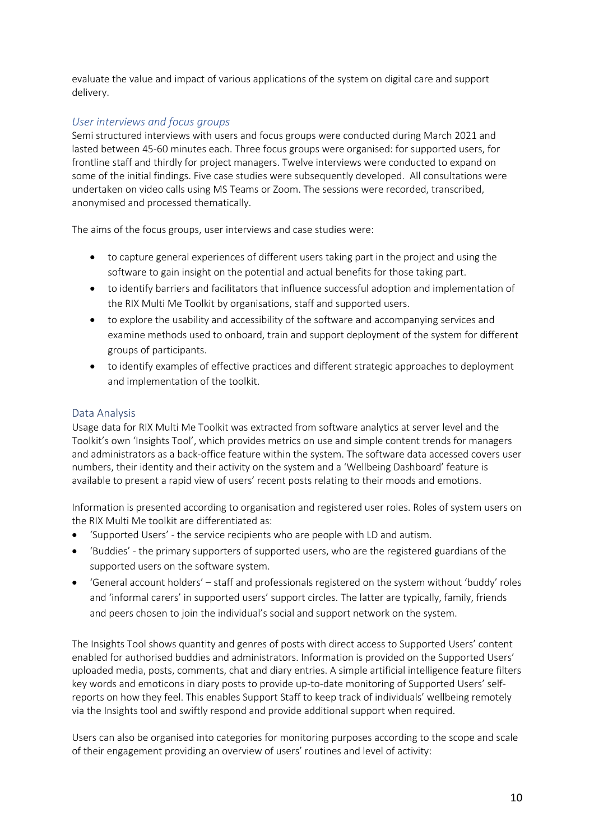evaluate the value and impact of various applications of the system on digital care and support delivery.

# *User interviews and focus groups*

Semi structured interviews with users and focus groups were conducted during March 2021 and lasted between 45-60 minutes each. Three focus groups were organised: for supported users, for frontline staff and thirdly for project managers. Twelve interviews were conducted to expand on some of the initial findings. Five case studies were subsequently developed. All consultations were undertaken on video calls using MS Teams or Zoom. The sessions were recorded, transcribed, anonymised and processed thematically.

The aims of the focus groups, user interviews and case studies were:

- to capture general experiences of different users taking part in the project and using the software to gain insight on the potential and actual benefits for those taking part.
- to identify barriers and facilitators that influence successful adoption and implementation of the RIX Multi Me Toolkit by organisations, staff and supported users.
- to explore the usability and accessibility of the software and accompanying services and examine methods used to onboard, train and support deployment of the system for different groups of participants.
- to identify examples of effective practices and different strategic approaches to deployment and implementation of the toolkit.

# Data Analysis

Usage data for RIX Multi Me Toolkit was extracted from software analytics at server level and the Toolkit's own 'Insights Tool', which provides metrics on use and simple content trends for managers and administrators as a back-office feature within the system. The software data accessed covers user numbers, their identity and their activity on the system and a 'Wellbeing Dashboard' feature is available to present a rapid view of users' recent posts relating to their moods and emotions.

Information is presented according to organisation and registered user roles. Roles of system users on the RIX Multi Me toolkit are differentiated as:

- 'Supported Users' the service recipients who are people with LD and autism.
- 'Buddies' the primary supporters of supported users, who are the registered guardians of the supported users on the software system.
- 'General account holders' staff and professionals registered on the system without 'buddy' roles and 'informal carers' in supported users' support circles. The latter are typically, family, friends and peers chosen to join the individual's social and support network on the system.

The Insights Tool shows quantity and genres of posts with direct access to Supported Users' content enabled for authorised buddies and administrators. Information is provided on the Supported Users' uploaded media, posts, comments, chat and diary entries. A simple artificial intelligence feature filters key words and emoticons in diary posts to provide up-to-date monitoring of Supported Users' selfreports on how they feel. This enables Support Staff to keep track of individuals' wellbeing remotely via the Insights tool and swiftly respond and provide additional support when required.

Users can also be organised into categories for monitoring purposes according to the scope and scale of their engagement providing an overview of users' routines and level of activity: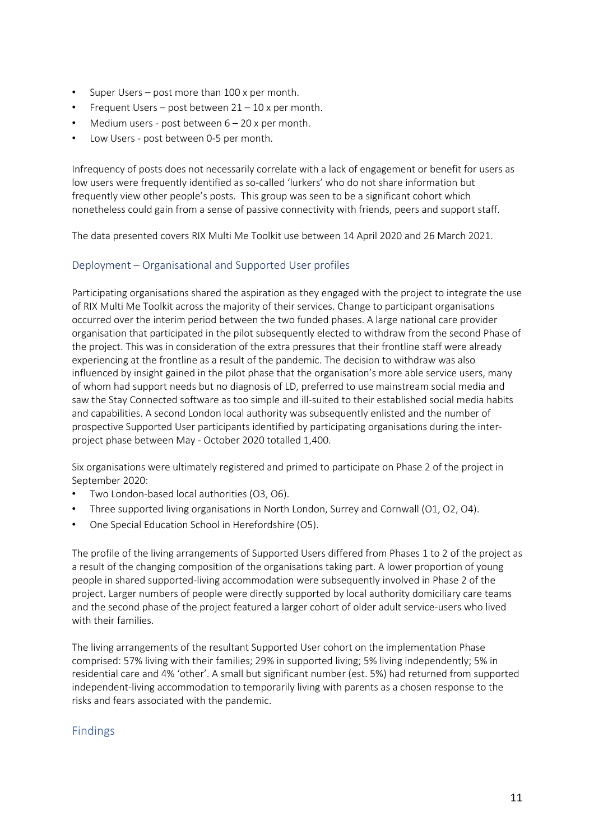- Super Users post more than 100 x per month.
- Frequent Users post between  $21 10$  x per month.
- Medium users post between  $6 20$  x per month.
- Low Users post between 0-5 per month.

Infrequency of posts does not necessarily correlate with a lack of engagement or benefit for users as low users were frequently identified as so-called 'lurkers' who do not share information but frequently view other people's posts. This group was seen to be a significant cohort which nonetheless could gain from a sense of passive connectivity with friends, peers and support staff.

The data presented covers RIX Multi Me Toolkit use between 14 April 2020 and 26 March 2021.

#### Deployment – Organisational and Supported User profiles

Participating organisations shared the aspiration as they engaged with the project to integrate the use of RIX Multi Me Toolkit across the majority of their services. Change to participant organisations occurred over the interim period between the two funded phases. A large national care provider organisation that participated in the pilot subsequently elected to withdraw from the second Phase of the project. This was in consideration of the extra pressures that their frontline staff were already experiencing at the frontline as a result of the pandemic. The decision to withdraw was also influenced by insight gained in the pilot phase that the organisation's more able service users, many of whom had support needs but no diagnosis of LD, preferred to use mainstream social media and saw the Stay Connected software as too simple and ill-suited to their established social media habits and capabilities. A second London local authority was subsequently enlisted and the number of prospective Supported User participants identified by participating organisations during the interproject phase between May - October 2020 totalled 1,400.

Six organisations were ultimately registered and primed to participate on Phase 2 of the project in September 2020:

- Two London-based local authorities (O3, O6).
- Three supported living organisations in North London, Surrey and Cornwall (O1, O2, O4).
- One Special Education School in Herefordshire (O5).

The profile of the living arrangements of Supported Users differed from Phases 1 to 2 of the project as a result of the changing composition of the organisations taking part. A lower proportion of young people in shared supported-living accommodation were subsequently involved in Phase 2 of the project. Larger numbers of people were directly supported by local authority domiciliary care teams and the second phase of the project featured a larger cohort of older adult service-users who lived with their families.

The living arrangements of the resultant Supported User cohort on the implementation Phase comprised: 57% living with their families; 29% in supported living; 5% living independently; 5% in residential care and 4% 'other'. A small but significant number (est. 5%) had returned from supported independent-living accommodation to temporarily living with parents as a chosen response to the risks and fears associated with the pandemic.

# Findings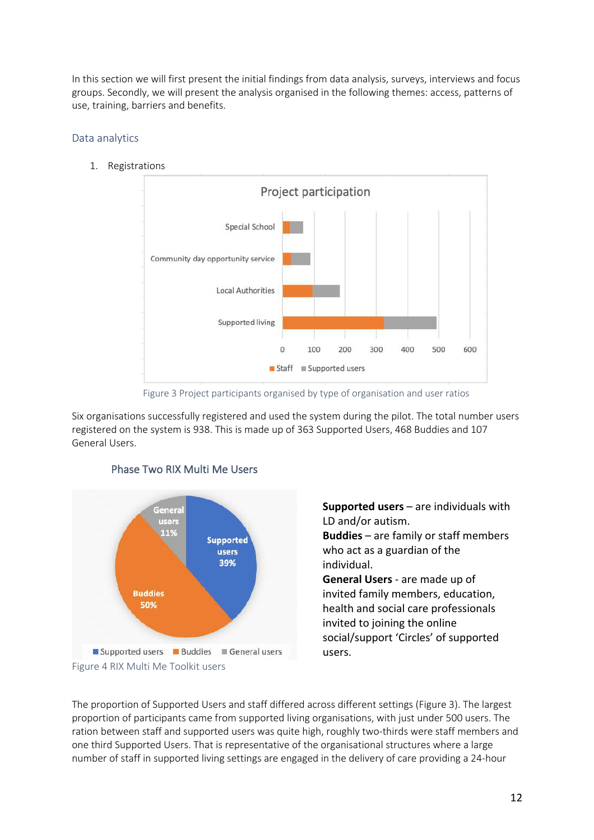In this section we will first present the initial findings from data analysis, surveys, interviews and focus groups. Secondly, we will present the analysis organised in the following themes: access, patterns of use, training, barriers and benefits.

### Data analytics

1. Registrations



Figure 3 Project participants organised by type of organisation and user ratios

Six organisations successfully registered and used the system during the pilot. The total number users registered on the system is 938. This is made up of 363 Supported Users, 468 Buddies and 107 General Users.



# Phase Two RIX Multi Me Users

**Supported users** – are individuals with LD and/or autism. **Buddies** – are family or staff members who act as a guardian of the individual.

**General Users** - are made up of invited family members, education, health and social care professionals invited to joining the online social/support 'Circles' of supported users.

The proportion of Supported Users and staff differed across different settings (Figure 3). The largest proportion of participants came from supported living organisations, with just under 500 users. The ration between staff and supported users was quite high, roughly two-thirds were staff members and one third Supported Users. That is representative of the organisational structures where a large number of staff in supported living settings are engaged in the delivery of care providing a 24-hour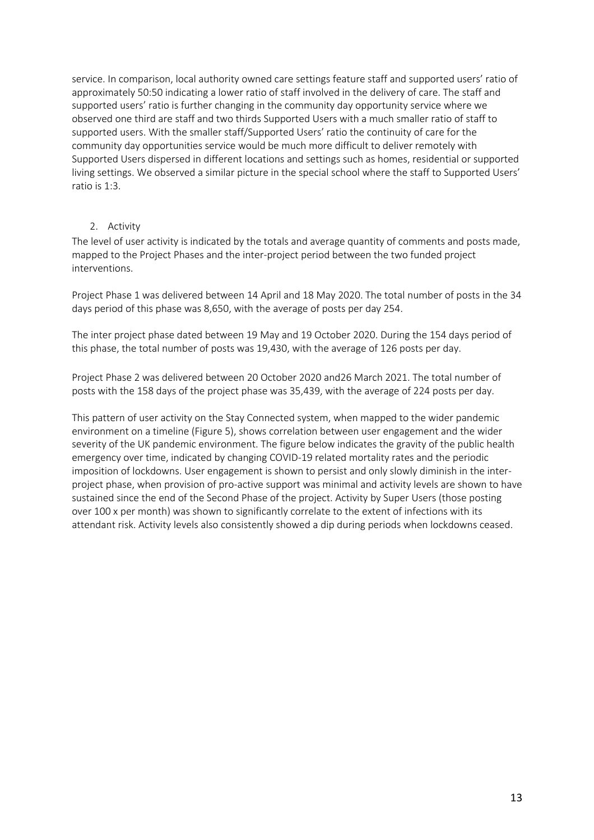service. In comparison, local authority owned care settings feature staff and supported users' ratio of approximately 50:50 indicating a lower ratio of staff involved in the delivery of care. The staff and supported users' ratio is further changing in the community day opportunity service where we observed one third are staff and two thirds Supported Users with a much smaller ratio of staff to supported users. With the smaller staff/Supported Users' ratio the continuity of care for the community day opportunities service would be much more difficult to deliver remotely with Supported Users dispersed in different locations and settings such as homes, residential or supported living settings. We observed a similar picture in the special school where the staff to Supported Users' ratio is 1:3.

#### 2. Activity

The level of user activity is indicated by the totals and average quantity of comments and posts made, mapped to the Project Phases and the inter-project period between the two funded project interventions.

Project Phase 1 was delivered between 14 April and 18 May 2020. The total number of posts in the 34 days period of this phase was 8,650, with the average of posts per day 254.

The inter project phase dated between 19 May and 19 October 2020. During the 154 days period of this phase, the total number of posts was 19,430, with the average of 126 posts per day.

Project Phase 2 was delivered between 20 October 2020 and26 March 2021. The total number of posts with the 158 days of the project phase was 35,439, with the average of 224 posts per day.

This pattern of user activity on the Stay Connected system, when mapped to the wider pandemic environment on a timeline (Figure 5), shows correlation between user engagement and the wider severity of the UK pandemic environment. The figure below indicates the gravity of the public health emergency over time, indicated by changing COVID-19 related mortality rates and the periodic imposition of lockdowns. User engagement is shown to persist and only slowly diminish in the interproject phase, when provision of pro-active support was minimal and activity levels are shown to have sustained since the end of the Second Phase of the project. Activity by Super Users (those posting over 100 x per month) was shown to significantly correlate to the extent of infections with its attendant risk. Activity levels also consistently showed a dip during periods when lockdowns ceased.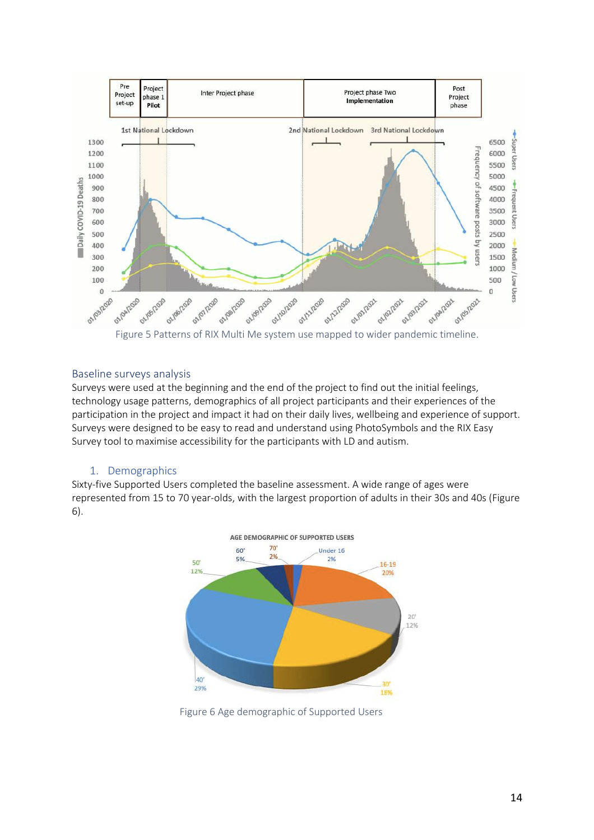

#### Baseline surveys analysis

Surveys were used at the beginning and the end of the project to find out the initial feelings, technology usage patterns, demographics of all project participants and their experiences of the participation in the project and impact it had on their daily lives, wellbeing and experience of support. Surveys were designed to be easy to read and understand using PhotoSymbols and the RIX Easy Survey tool to maximise accessibility for the participants with LD and autism.

#### 1. Demographics

Sixty-five Supported Users completed the baseline assessment. A wide range of ages were represented from 15 to 70 year-olds, with the largest proportion of adults in their 30s and 40s (Figure 6).



Figure 6 Age demographic of Supported Users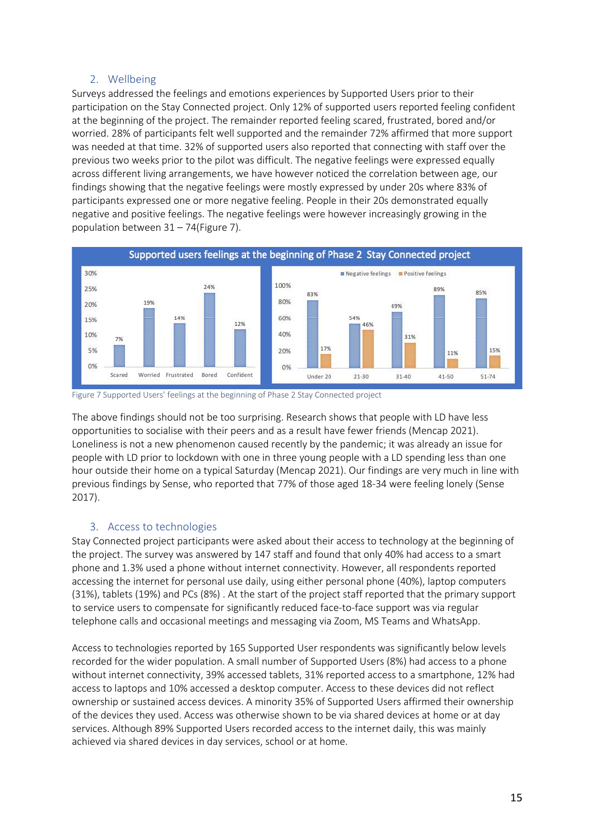# 2. Wellbeing

Surveys addressed the feelings and emotions experiences by Supported Users prior to their participation on the Stay Connected project. Only 12% of supported users reported feeling confident at the beginning of the project. The remainder reported feeling scared, frustrated, bored and/or worried. 28% of participants felt well supported and the remainder 72% affirmed that more support was needed at that time. 32% of supported users also reported that connecting with staff over the previous two weeks prior to the pilot was difficult. The negative feelings were expressed equally across different living arrangements, we have however noticed the correlation between age, our findings showing that the negative feelings were mostly expressed by under 20s where 83% of participants expressed one or more negative feeling. People in their 20s demonstrated equally negative and positive feelings. The negative feelings were however increasingly growing in the population between 31 – 74(Figure 7).





The above findings should not be too surprising. Research shows that people with LD have less opportunities to socialise with their peers and as a result have fewer friends (Mencap 2021). Loneliness is not a new phenomenon caused recently by the pandemic; it was already an issue for people with LD prior to lockdown with one in three young people with a LD spending less than one hour outside their home on a typical Saturday (Mencap 2021). Our findings are very much in line with previous findings by Sense, who reported that 77% of those aged 18-34 were feeling lonely (Sense 2017).

# 3. Access to technologies

Stay Connected project participants were asked about their access to technology at the beginning of the project. The survey was answered by 147 staff and found that only 40% had access to a smart phone and 1.3% used a phone without internet connectivity. However, all respondents reported accessing the internet for personal use daily, using either personal phone (40%), laptop computers (31%), tablets (19%) and PCs (8%) . At the start of the project staff reported that the primary support to service users to compensate for significantly reduced face-to-face support was via regular telephone calls and occasional meetings and messaging via Zoom, MS Teams and WhatsApp.

Access to technologies reported by 165 Supported User respondents was significantly below levels recorded for the wider population. A small number of Supported Users (8%) had access to a phone without internet connectivity, 39% accessed tablets, 31% reported access to a smartphone, 12% had access to laptops and 10% accessed a desktop computer. Access to these devices did not reflect ownership or sustained access devices. A minority 35% of Supported Users affirmed their ownership of the devices they used. Access was otherwise shown to be via shared devices at home or at day services. Although 89% Supported Users recorded access to the internet daily, this was mainly achieved via shared devices in day services, school or at home.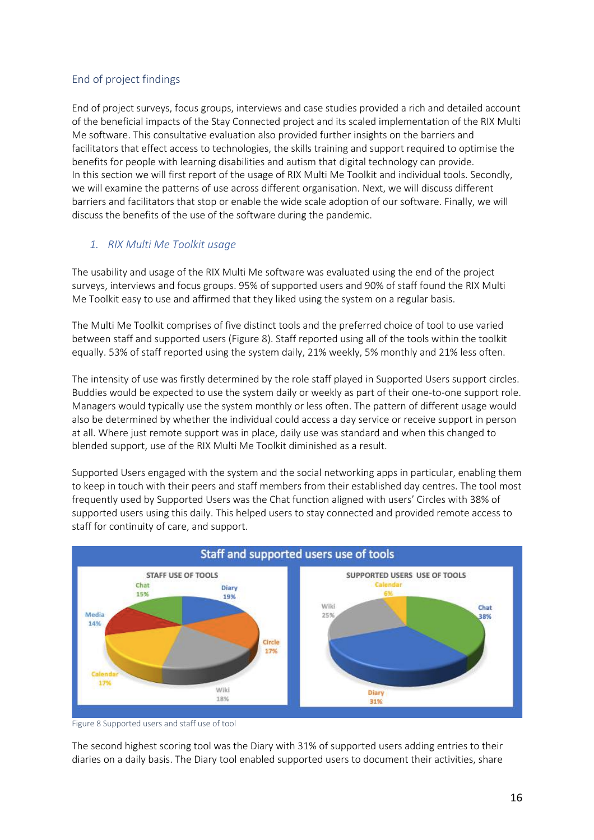# End of project findings

End of project surveys, focus groups, interviews and case studies provided a rich and detailed account of the beneficial impacts of the Stay Connected project and its scaled implementation of the RIX Multi Me software. This consultative evaluation also provided further insights on the barriers and facilitators that effect access to technologies, the skills training and support required to optimise the benefits for people with learning disabilities and autism that digital technology can provide. In this section we will first report of the usage of RIX Multi Me Toolkit and individual tools. Secondly, we will examine the patterns of use across different organisation. Next, we will discuss different barriers and facilitators that stop or enable the wide scale adoption of our software. Finally, we will discuss the benefits of the use of the software during the pandemic.

# *1. RIX Multi Me Toolkit usage*

The usability and usage of the RIX Multi Me software was evaluated using the end of the project surveys, interviews and focus groups. 95% of supported users and 90% of staff found the RIX Multi Me Toolkit easy to use and affirmed that they liked using the system on a regular basis.

The Multi Me Toolkit comprises of five distinct tools and the preferred choice of tool to use varied between staff and supported users (Figure 8). Staff reported using all of the tools within the toolkit equally. 53% of staff reported using the system daily, 21% weekly, 5% monthly and 21% less often.

The intensity of use was firstly determined by the role staff played in Supported Users support circles. Buddies would be expected to use the system daily or weekly as part of their one-to-one support role. Managers would typically use the system monthly or less often. The pattern of different usage would also be determined by whether the individual could access a day service or receive support in person at all. Where just remote support was in place, daily use was standard and when this changed to blended support, use of the RIX Multi Me Toolkit diminished as a result.

Supported Users engaged with the system and the social networking apps in particular, enabling them to keep in touch with their peers and staff members from their established day centres. The tool most frequently used by Supported Users was the Chat function aligned with users' Circles with 38% of supported users using this daily. This helped users to stay connected and provided remote access to staff for continuity of care, and support.



Figure 8 Supported users and staff use of tool

The second highest scoring tool was the Diary with 31% of supported users adding entries to their diaries on a daily basis. The Diary tool enabled supported users to document their activities, share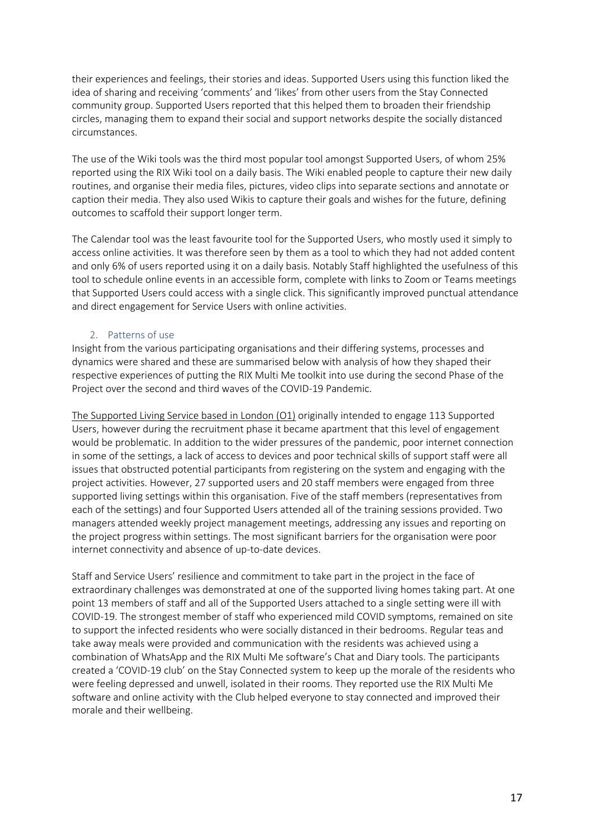their experiences and feelings, their stories and ideas. Supported Users using this function liked the idea of sharing and receiving 'comments' and 'likes' from other users from the Stay Connected community group. Supported Users reported that this helped them to broaden their friendship circles, managing them to expand their social and support networks despite the socially distanced circumstances.

The use of the Wiki tools was the third most popular tool amongst Supported Users, of whom 25% reported using the RIX Wiki tool on a daily basis. The Wiki enabled people to capture their new daily routines, and organise their media files, pictures, video clips into separate sections and annotate or caption their media. They also used Wikis to capture their goals and wishes for the future, defining outcomes to scaffold their support longer term.

The Calendar tool was the least favourite tool for the Supported Users, who mostly used it simply to access online activities. It was therefore seen by them as a tool to which they had not added content and only 6% of users reported using it on a daily basis. Notably Staff highlighted the usefulness of this tool to schedule online events in an accessible form, complete with links to Zoom or Teams meetings that Supported Users could access with a single click. This significantly improved punctual attendance and direct engagement for Service Users with online activities.

#### 2. Patterns of use

Insight from the various participating organisations and their differing systems, processes and dynamics were shared and these are summarised below with analysis of how they shaped their respective experiences of putting the RIX Multi Me toolkit into use during the second Phase of the Project over the second and third waves of the COVID-19 Pandemic.

The Supported Living Service based in London (O1) originally intended to engage 113 Supported Users, however during the recruitment phase it became apartment that this level of engagement would be problematic. In addition to the wider pressures of the pandemic, poor internet connection in some of the settings, a lack of access to devices and poor technical skills of support staff were all issues that obstructed potential participants from registering on the system and engaging with the project activities. However, 27 supported users and 20 staff members were engaged from three supported living settings within this organisation. Five of the staff members (representatives from each of the settings) and four Supported Users attended all of the training sessions provided. Two managers attended weekly project management meetings, addressing any issues and reporting on the project progress within settings. The most significant barriers for the organisation were poor internet connectivity and absence of up-to-date devices.

Staff and Service Users' resilience and commitment to take part in the project in the face of extraordinary challenges was demonstrated at one of the supported living homes taking part. At one point 13 members of staff and all of the Supported Users attached to a single setting were ill with COVID-19. The strongest member of staff who experienced mild COVID symptoms, remained on site to support the infected residents who were socially distanced in their bedrooms. Regular teas and take away meals were provided and communication with the residents was achieved using a combination of WhatsApp and the RIX Multi Me software's Chat and Diary tools. The participants created a 'COVID-19 club' on the Stay Connected system to keep up the morale of the residents who were feeling depressed and unwell, isolated in their rooms. They reported use the RIX Multi Me software and online activity with the Club helped everyone to stay connected and improved their morale and their wellbeing.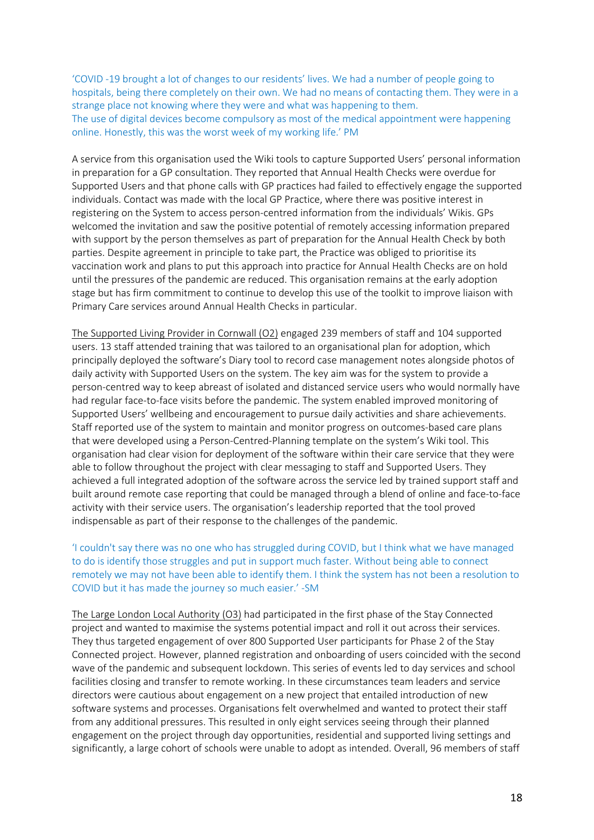'COVID -19 brought a lot of changes to our residents' lives. We had a number of people going to hospitals, being there completely on their own. We had no means of contacting them. They were in a strange place not knowing where they were and what was happening to them. The use of digital devices become compulsory as most of the medical appointment were happening online. Honestly, this was the worst week of my working life.' PM

A service from this organisation used the Wiki tools to capture Supported Users' personal information in preparation for a GP consultation. They reported that Annual Health Checks were overdue for Supported Users and that phone calls with GP practices had failed to effectively engage the supported individuals. Contact was made with the local GP Practice, where there was positive interest in registering on the System to access person-centred information from the individuals' Wikis. GPs welcomed the invitation and saw the positive potential of remotely accessing information prepared with support by the person themselves as part of preparation for the Annual Health Check by both parties. Despite agreement in principle to take part, the Practice was obliged to prioritise its vaccination work and plans to put this approach into practice for Annual Health Checks are on hold until the pressures of the pandemic are reduced. This organisation remains at the early adoption stage but has firm commitment to continue to develop this use of the toolkit to improve liaison with Primary Care services around Annual Health Checks in particular.

The Supported Living Provider in Cornwall (O2) engaged 239 members of staff and 104 supported users. 13 staff attended training that was tailored to an organisational plan for adoption, which principally deployed the software's Diary tool to record case management notes alongside photos of daily activity with Supported Users on the system. The key aim was for the system to provide a person-centred way to keep abreast of isolated and distanced service users who would normally have had regular face-to-face visits before the pandemic. The system enabled improved monitoring of Supported Users' wellbeing and encouragement to pursue daily activities and share achievements. Staff reported use of the system to maintain and monitor progress on outcomes-based care plans that were developed using a Person-Centred-Planning template on the system's Wiki tool. This organisation had clear vision for deployment of the software within their care service that they were able to follow throughout the project with clear messaging to staff and Supported Users. They achieved a full integrated adoption of the software across the service led by trained support staff and built around remote case reporting that could be managed through a blend of online and face-to-face activity with their service users. The organisation's leadership reported that the tool proved indispensable as part of their response to the challenges of the pandemic.

'I couldn't say there was no one who has struggled during COVID, but I think what we have managed to do is identify those struggles and put in support much faster. Without being able to connect remotely we may not have been able to identify them. I think the system has not been a resolution to COVID but it has made the journey so much easier.' -SM

The Large London Local Authority (O3) had participated in the first phase of the Stay Connected project and wanted to maximise the systems potential impact and roll it out across their services. They thus targeted engagement of over 800 Supported User participants for Phase 2 of the Stay Connected project. However, planned registration and onboarding of users coincided with the second wave of the pandemic and subsequent lockdown. This series of events led to day services and school facilities closing and transfer to remote working. In these circumstances team leaders and service directors were cautious about engagement on a new project that entailed introduction of new software systems and processes. Organisations felt overwhelmed and wanted to protect their staff from any additional pressures. This resulted in only eight services seeing through their planned engagement on the project through day opportunities, residential and supported living settings and significantly, a large cohort of schools were unable to adopt as intended. Overall, 96 members of staff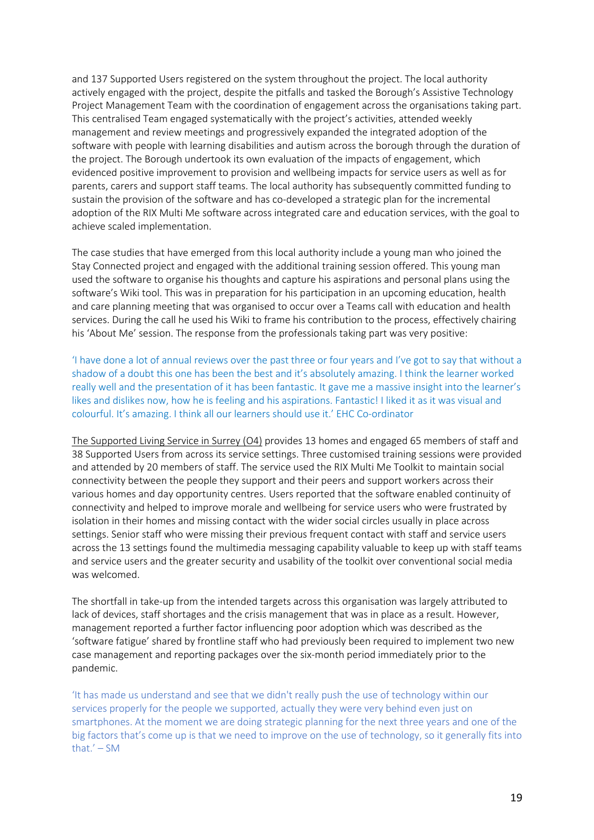and 137 Supported Users registered on the system throughout the project. The local authority actively engaged with the project, despite the pitfalls and tasked the Borough's Assistive Technology Project Management Team with the coordination of engagement across the organisations taking part. This centralised Team engaged systematically with the project's activities, attended weekly management and review meetings and progressively expanded the integrated adoption of the software with people with learning disabilities and autism across the borough through the duration of the project. The Borough undertook its own evaluation of the impacts of engagement, which evidenced positive improvement to provision and wellbeing impacts for service users as well as for parents, carers and support staff teams. The local authority has subsequently committed funding to sustain the provision of the software and has co-developed a strategic plan for the incremental adoption of the RIX Multi Me software across integrated care and education services, with the goal to achieve scaled implementation.

The case studies that have emerged from this local authority include a young man who joined the Stay Connected project and engaged with the additional training session offered. This young man used the software to organise his thoughts and capture his aspirations and personal plans using the software's Wiki tool. This was in preparation for his participation in an upcoming education, health and care planning meeting that was organised to occur over a Teams call with education and health services. During the call he used his Wiki to frame his contribution to the process, effectively chairing his 'About Me' session. The response from the professionals taking part was very positive:

'I have done a lot of annual reviews over the past three or four years and I've got to say that without a shadow of a doubt this one has been the best and it's absolutely amazing. I think the learner worked really well and the presentation of it has been fantastic. It gave me a massive insight into the learner's likes and dislikes now, how he is feeling and his aspirations. Fantastic! I liked it as it was visual and colourful. It's amazing. I think all our learners should use it.' EHC Co-ordinator

The Supported Living Service in Surrey (O4) provides 13 homes and engaged 65 members of staff and 38 Supported Users from across its service settings. Three customised training sessions were provided and attended by 20 members of staff. The service used the RIX Multi Me Toolkit to maintain social connectivity between the people they support and their peers and support workers across their various homes and day opportunity centres. Users reported that the software enabled continuity of connectivity and helped to improve morale and wellbeing for service users who were frustrated by isolation in their homes and missing contact with the wider social circles usually in place across settings. Senior staff who were missing their previous frequent contact with staff and service users across the 13 settings found the multimedia messaging capability valuable to keep up with staff teams and service users and the greater security and usability of the toolkit over conventional social media was welcomed.

The shortfall in take-up from the intended targets across this organisation was largely attributed to lack of devices, staff shortages and the crisis management that was in place as a result. However, management reported a further factor influencing poor adoption which was described as the 'software fatigue' shared by frontline staff who had previously been required to implement two new case management and reporting packages over the six-month period immediately prior to the pandemic.

'It has made us understand and see that we didn't really push the use of technology within our services properly for the people we supported, actually they were very behind even just on smartphones. At the moment we are doing strategic planning for the next three years and one of the big factors that's come up is that we need to improve on the use of technology, so it generally fits into that.' – SM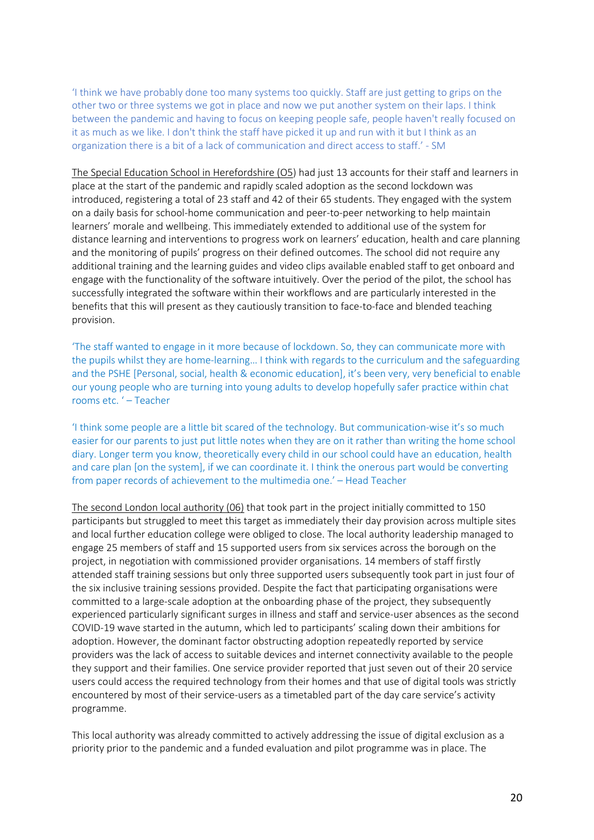'I think we have probably done too many systems too quickly. Staff are just getting to grips on the other two or three systems we got in place and now we put another system on their laps. I think between the pandemic and having to focus on keeping people safe, people haven't really focused on it as much as we like. I don't think the staff have picked it up and run with it but I think as an organization there is a bit of a lack of communication and direct access to staff.' - SM

The Special Education School in Herefordshire (O5) had just 13 accounts for their staff and learners in place at the start of the pandemic and rapidly scaled adoption as the second lockdown was introduced, registering a total of 23 staff and 42 of their 65 students. They engaged with the system on a daily basis for school-home communication and peer-to-peer networking to help maintain learners' morale and wellbeing. This immediately extended to additional use of the system for distance learning and interventions to progress work on learners' education, health and care planning and the monitoring of pupils' progress on their defined outcomes. The school did not require any additional training and the learning guides and video clips available enabled staff to get onboard and engage with the functionality of the software intuitively. Over the period of the pilot, the school has successfully integrated the software within their workflows and are particularly interested in the benefits that this will present as they cautiously transition to face-to-face and blended teaching provision.

'The staff wanted to engage in it more because of lockdown. So, they can communicate more with the pupils whilst they are home-learning… I think with regards to the curriculum and the safeguarding and the PSHE [Personal, social, health & economic education], it's been very, very beneficial to enable our young people who are turning into young adults to develop hopefully safer practice within chat rooms etc. ' – Teacher

'I think some people are a little bit scared of the technology. But communication-wise it's so much easier for our parents to just put little notes when they are on it rather than writing the home school diary. Longer term you know, theoretically every child in our school could have an education, health and care plan [on the system], if we can coordinate it. I think the onerous part would be converting from paper records of achievement to the multimedia one.' – Head Teacher

The second London local authority (06) that took part in the project initially committed to 150 participants but struggled to meet this target as immediately their day provision across multiple sites and local further education college were obliged to close. The local authority leadership managed to engage 25 members of staff and 15 supported users from six services across the borough on the project, in negotiation with commissioned provider organisations. 14 members of staff firstly attended staff training sessions but only three supported users subsequently took part in just four of the six inclusive training sessions provided. Despite the fact that participating organisations were committed to a large-scale adoption at the onboarding phase of the project, they subsequently experienced particularly significant surges in illness and staff and service-user absences as the second COVID-19 wave started in the autumn, which led to participants' scaling down their ambitions for adoption. However, the dominant factor obstructing adoption repeatedly reported by service providers was the lack of access to suitable devices and internet connectivity available to the people they support and their families. One service provider reported that just seven out of their 20 service users could access the required technology from their homes and that use of digital tools was strictly encountered by most of their service-users as a timetabled part of the day care service's activity programme.

This local authority was already committed to actively addressing the issue of digital exclusion as a priority prior to the pandemic and a funded evaluation and pilot programme was in place. The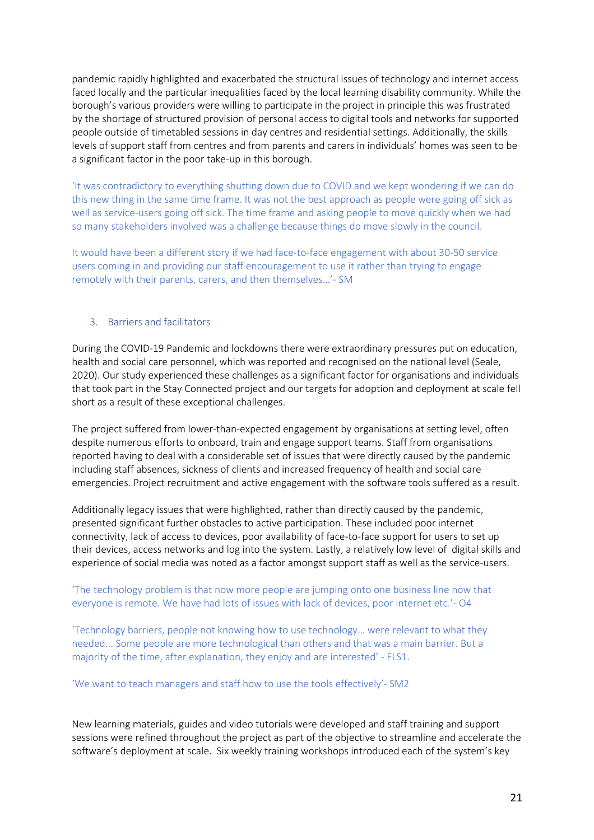pandemic rapidly highlighted and exacerbated the structural issues of technology and internet access faced locally and the particular inequalities faced by the local learning disability community. While the borough's various providers were willing to participate in the project in principle this was frustrated by the shortage of structured provision of personal access to digital tools and networks for supported people outside of timetabled sessions in day centres and residential settings. Additionally, the skills levels of support staff from centres and from parents and carers in individuals' homes was seen to be a significant factor in the poor take-up in this borough.

'It was contradictory to everything shutting down due to COVID and we kept wondering if we can do this new thing in the same time frame. It was not the best approach as people were going off sick as well as service-users going off sick. The time frame and asking people to move quickly when we had so many stakeholders involved was a challenge because things do move slowly in the council.

It would have been a different story if we had face-to-face engagement with about 30-50 service users coming in and providing our staff encouragement to use it rather than trying to engage remotely with their parents, carers, and then themselves…'- SM

#### 3. Barriers and facilitators

During the COVID-19 Pandemic and lockdowns there were extraordinary pressures put on education, health and social care personnel, which was reported and recognised on the national level (Seale, 2020). Our study experienced these challenges as a significant factor for organisations and individuals that took part in the Stay Connected project and our targets for adoption and deployment at scale fell short as a result of these exceptional challenges.

The project suffered from lower-than-expected engagement by organisations at setting level, often despite numerous efforts to onboard, train and engage support teams. Staff from organisations reported having to deal with a considerable set of issues that were directly caused by the pandemic including staff absences, sickness of clients and increased frequency of health and social care emergencies. Project recruitment and active engagement with the software tools suffered as a result.

Additionally legacy issues that were highlighted, rather than directly caused by the pandemic, presented significant further obstacles to active participation. These included poor internet connectivity, lack of access to devices, poor availability of face-to-face support for users to set up their devices, access networks and log into the system. Lastly, a relatively low level of digital skills and experience of social media was noted as a factor amongst support staff as well as the service-users.

#### 'The technology problem is that now more people are jumping onto one business line now that everyone is remote. We have had lots of issues with lack of devices, poor internet etc.'- O4

'Technology barriers, people not knowing how to use technology… were relevant to what they needed... Some people are more technological than others and that was a main barrier. But a majority of the time, after explanation, they enjoy and are interested' - FLS1.

#### 'We want to teach managers and staff how to use the tools effectively'- SM2

New learning materials, guides and video tutorials were developed and staff training and support sessions were refined throughout the project as part of the objective to streamline and accelerate the software's deployment at scale. Six weekly training workshops introduced each of the system's key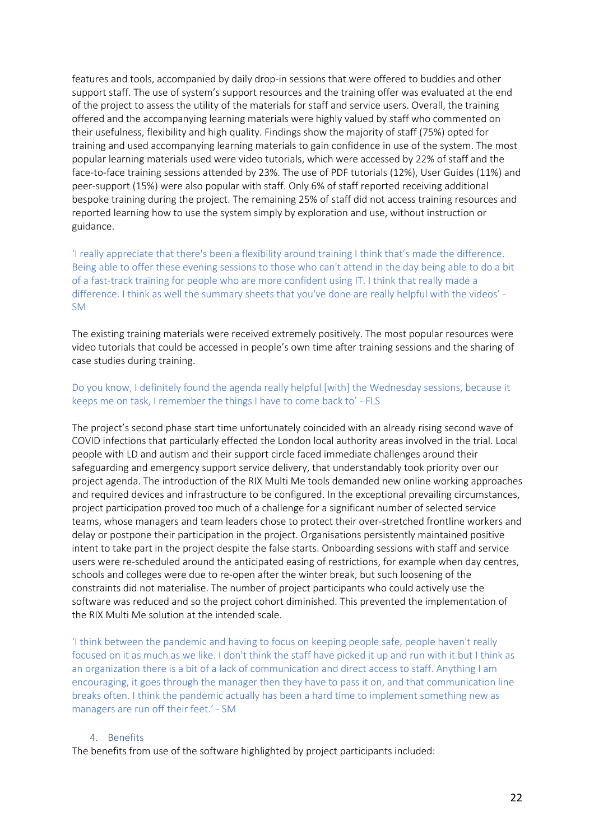features and tools, accompanied by daily drop-in sessions that were offered to buddies and other support staff. The use of system's support resources and the training offer was evaluated at the end of the project to assess the utility of the materials for staff and service users. Overall, the training offered and the accompanying learning materials were highly valued by staff who commented on their usefulness, flexibility and high quality. Findings show the majority of staff (75%) opted for training and used accompanying learning materials to gain confidence in use of the system. The most popular learning materials used were video tutorials, which were accessed by 22% of staff and the face-to-face training sessions attended by 23%. The use of PDF tutorials (12%), User Guides (11%) and peer-support (15%) were also popular with staff. Only 6% of staff reported receiving additional bespoke training during the project. The remaining 25% of staff did not access training resources and reported learning how to use the system simply by exploration and use, without instruction or guidance.

'I really appreciate that there's been a flexibility around training I think that's made the difference. Being able to offer these evening sessions to those who can't attend in the day being able to do a bit of a fast-track training for people who are more confident using IT. I think that really made a difference. I think as well the summary sheets that you've done are really helpful with the videos' - SM

The existing training materials were received extremely positively. The most popular resources were video tutorials that could be accessed in people's own time after training sessions and the sharing of case studies during training.

#### Do you know, I definitely found the agenda really helpful [with] the Wednesday sessions, because it keeps me on task, I remember the things I have to come back to' - FLS

The project's second phase start time unfortunately coincided with an already rising second wave of COVID infections that particularly effected the London local authority areas involved in the trial. Local people with LD and autism and their support circle faced immediate challenges around their safeguarding and emergency support service delivery, that understandably took priority over our project agenda. The introduction of the RIX Multi Me tools demanded new online working approaches and required devices and infrastructure to be configured. In the exceptional prevailing circumstances, project participation proved too much of a challenge for a significant number of selected service teams, whose managers and team leaders chose to protect their over-stretched frontline workers and delay or postpone their participation in the project. Organisations persistently maintained positive intent to take part in the project despite the false starts. Onboarding sessions with staff and service users were re-scheduled around the anticipated easing of restrictions, for example when day centres, schools and colleges were due to re-open after the winter break, but such loosening of the constraints did not materialise. The number of project participants who could actively use the software was reduced and so the project cohort diminished. This prevented the implementation of the RIX Multi Me solution at the intended scale.

'I think between the pandemic and having to focus on keeping people safe, people haven't really focused on it as much as we like. I don't think the staff have picked it up and run with it but I think as an organization there is a bit of a lack of communication and direct access to staff. Anything I am encouraging, it goes through the manager then they have to pass it on, and that communication line breaks often. I think the pandemic actually has been a hard time to implement something new as managers are run off their feet.' - SM

# 4. Benefits

The benefits from use of the software highlighted by project participants included: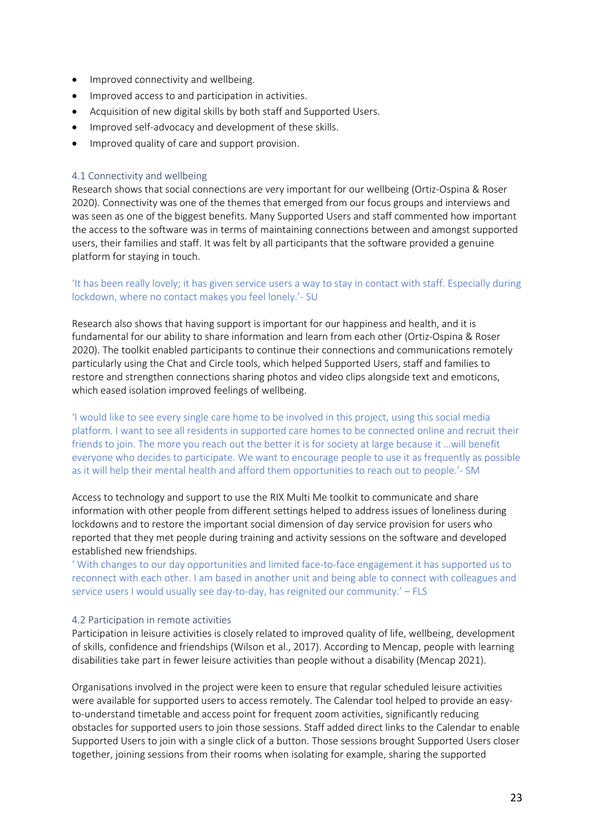- Improved connectivity and wellbeing.
- Improved access to and participation in activities.
- Acquisition of new digital skills by both staff and Supported Users.
- Improved self-advocacy and development of these skills.
- Improved quality of care and support provision.

#### 4.1 Connectivity and wellbeing

Research shows that social connections are very important for our wellbeing (Ortiz-Ospina & Roser 2020). Connectivity was one of the themes that emerged from our focus groups and interviews and was seen as one of the biggest benefits. Many Supported Users and staff commented how important the access to the software was in terms of maintaining connections between and amongst supported users, their families and staff. It was felt by all participants that the software provided a genuine platform for staying in touch.

#### 'It has been really lovely; it has given service users a way to stay in contact with staff. Especially during lockdown, where no contact makes you feel lonely.'- SU

Research also shows that having support is important for our happiness and health, and it is fundamental for our ability to share information and learn from each other (Ortiz-Ospina & Roser 2020). The toolkit enabled participants to continue their connections and communications remotely particularly using the Chat and Circle tools, which helped Supported Users, staff and families to restore and strengthen connections sharing photos and video clips alongside text and emoticons, which eased isolation improved feelings of wellbeing.

'I would like to see every single care home to be involved in this project, using this social media platform. I want to see all residents in supported care homes to be connected online and recruit their friends to join. The more you reach out the better it is for society at large because it …will benefit everyone who decides to participate. We want to encourage people to use it as frequently as possible as it will help their mental health and afford them opportunities to reach out to people.'- SM

Access to technology and support to use the RIX Multi Me toolkit to communicate and share information with other people from different settings helped to address issues of loneliness during lockdowns and to restore the important social dimension of day service provision for users who reported that they met people during training and activity sessions on the software and developed established new friendships.

' With changes to our day opportunities and limited face-to-face engagement it has supported us to reconnect with each other. I am based in another unit and being able to connect with colleagues and service users I would usually see day-to-day, has reignited our community.' – FLS

#### 4.2 Participation in remote activities

Participation in leisure activities is closely related to improved quality of life, wellbeing, development of skills, confidence and friendships (Wilson et al., 2017). According to Mencap, people with learning disabilities take part in fewer leisure activities than people without a disability (Mencap 2021).

Organisations involved in the project were keen to ensure that regular scheduled leisure activities were available for supported users to access remotely. The Calendar tool helped to provide an easyto-understand timetable and access point for frequent zoom activities, significantly reducing obstacles for supported users to join those sessions. Staff added direct links to the Calendar to enable Supported Users to join with a single click of a button. Those sessions brought Supported Users closer together, joining sessions from their rooms when isolating for example, sharing the supported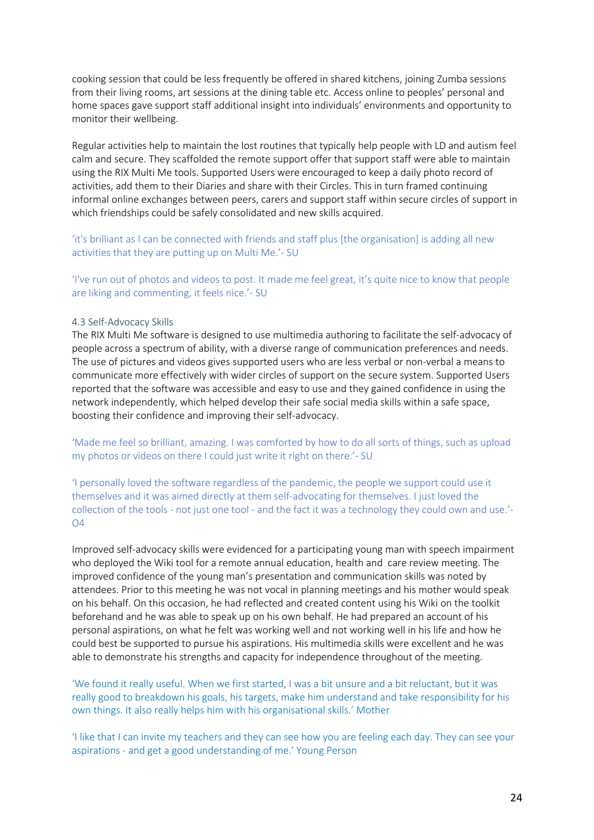cooking session that could be less frequently be offered in shared kitchens, joining Zumba sessions from their living rooms, art sessions at the dining table etc. Access online to peoples' personal and home spaces gave support staff additional insight into individuals' environments and opportunity to monitor their wellbeing.

Regular activities help to maintain the lost routines that typically help people with LD and autism feel calm and secure. They scaffolded the remote support offer that support staff were able to maintain using the RIX Multi Me tools. Supported Users were encouraged to keep a daily photo record of activities, add them to their Diaries and share with their Circles. This in turn framed continuing informal online exchanges between peers, carers and support staff within secure circles of support in which friendships could be safely consolidated and new skills acquired.

'it's brilliant as I can be connected with friends and staff plus [the organisation] is adding all new activities that they are putting up on Multi Me.'- SU

'I've run out of photos and videos to post. It made me feel great, it's quite nice to know that people are liking and commenting, it feels nice.'- SU

#### 4.3 Self-Advocacy Skills

The RIX Multi Me software is designed to use multimedia authoring to facilitate the self-advocacy of people across a spectrum of ability, with a diverse range of communication preferences and needs. The use of pictures and videos gives supported users who are less verbal or non-verbal a means to communicate more effectively with wider circles of support on the secure system. Supported Users reported that the software was accessible and easy to use and they gained confidence in using the network independently, which helped develop their safe social media skills within a safe space, boosting their confidence and improving their self-advocacy.

'Made me feel so brilliant, amazing. I was comforted by how to do all sorts of things, such as upload my photos or videos on there I could just write it right on there.'- SU

'I personally loved the software regardless of the pandemic, the people we support could use it themselves and it was aimed directly at them self-advocating for themselves. I just loved the collection of the tools - not just one tool - and the fact it was a technology they could own and use.'- O4

Improved self-advocacy skills were evidenced for a participating young man with speech impairment who deployed the Wiki tool for a remote annual education, health and care review meeting. The improved confidence of the young man's presentation and communication skills was noted by attendees. Prior to this meeting he was not vocal in planning meetings and his mother would speak on his behalf. On this occasion, he had reflected and created content using his Wiki on the toolkit beforehand and he was able to speak up on his own behalf. He had prepared an account of his personal aspirations, on what he felt was working well and not working well in his life and how he could best be supported to pursue his aspirations. His multimedia skills were excellent and he was able to demonstrate his strengths and capacity for independence throughout of the meeting.

'We found it really useful. When we first started, I was a bit unsure and a bit reluctant, but it was really good to breakdown his goals, his targets, make him understand and take responsibility for his own things. It also really helps him with his organisational skills.' Mother

'I like that I can invite my teachers and they can see how you are feeling each day. They can see your aspirations - and get a good understanding of me.' Young Person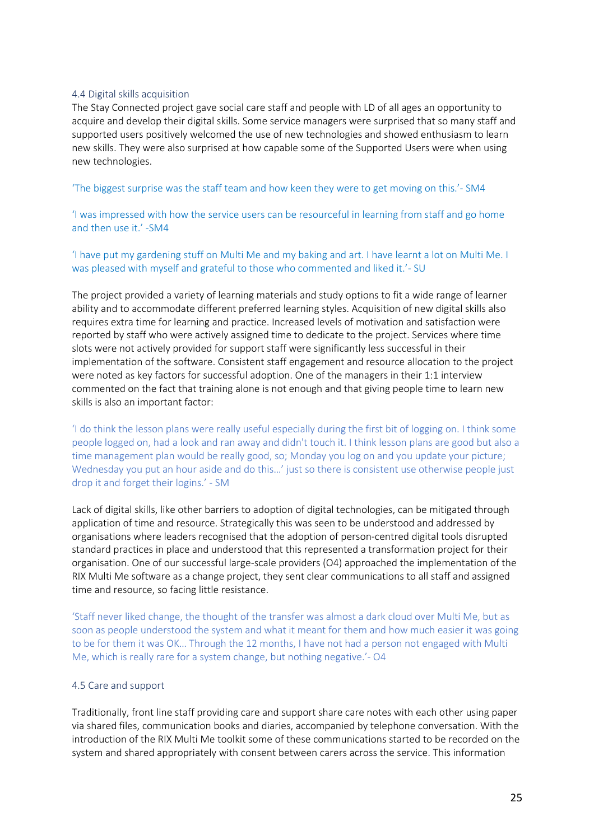#### 4.4 Digital skills acquisition

The Stay Connected project gave social care staff and people with LD of all ages an opportunity to acquire and develop their digital skills. Some service managers were surprised that so many staff and supported users positively welcomed the use of new technologies and showed enthusiasm to learn new skills. They were also surprised at how capable some of the Supported Users were when using new technologies.

'The biggest surprise was the staff team and how keen they were to get moving on this.'- SM4

'I was impressed with how the service users can be resourceful in learning from staff and go home and then use it.' -SM4

'I have put my gardening stuff on Multi Me and my baking and art. I have learnt a lot on Multi Me. I was pleased with myself and grateful to those who commented and liked it.'- SU

The project provided a variety of learning materials and study options to fit a wide range of learner ability and to accommodate different preferred learning styles. Acquisition of new digital skills also requires extra time for learning and practice. Increased levels of motivation and satisfaction were reported by staff who were actively assigned time to dedicate to the project. Services where time slots were not actively provided for support staff were significantly less successful in their implementation of the software. Consistent staff engagement and resource allocation to the project were noted as key factors for successful adoption. One of the managers in their 1:1 interview commented on the fact that training alone is not enough and that giving people time to learn new skills is also an important factor:

'I do think the lesson plans were really useful especially during the first bit of logging on. I think some people logged on, had a look and ran away and didn't touch it. I think lesson plans are good but also a time management plan would be really good, so; Monday you log on and you update your picture; Wednesday you put an hour aside and do this...' just so there is consistent use otherwise people just drop it and forget their logins.' - SM

Lack of digital skills, like other barriers to adoption of digital technologies, can be mitigated through application of time and resource. Strategically this was seen to be understood and addressed by organisations where leaders recognised that the adoption of person-centred digital tools disrupted standard practices in place and understood that this represented a transformation project for their organisation. One of our successful large-scale providers (O4) approached the implementation of the RIX Multi Me software as a change project, they sent clear communications to all staff and assigned time and resource, so facing little resistance.

'Staff never liked change, the thought of the transfer was almost a dark cloud over Multi Me, but as soon as people understood the system and what it meant for them and how much easier it was going to be for them it was OK… Through the 12 months, I have not had a person not engaged with Multi Me, which is really rare for a system change, but nothing negative.'- O4

#### 4.5 Care and support

Traditionally, front line staff providing care and support share care notes with each other using paper via shared files, communication books and diaries, accompanied by telephone conversation. With the introduction of the RIX Multi Me toolkit some of these communications started to be recorded on the system and shared appropriately with consent between carers across the service. This information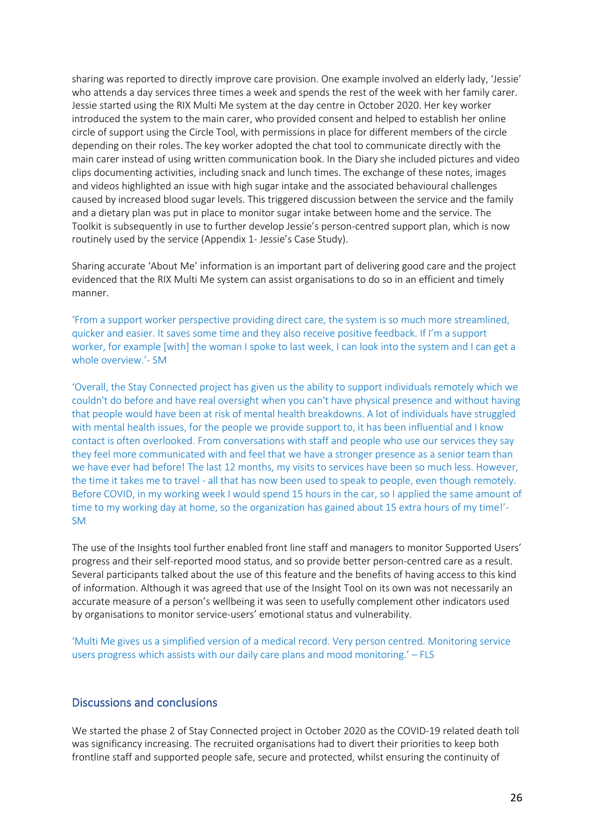sharing was reported to directly improve care provision. One example involved an elderly lady, 'Jessie' who attends a day services three times a week and spends the rest of the week with her family carer. Jessie started using the RIX Multi Me system at the day centre in October 2020. Her key worker introduced the system to the main carer, who provided consent and helped to establish her online circle of support using the Circle Tool, with permissions in place for different members of the circle depending on their roles. The key worker adopted the chat tool to communicate directly with the main carer instead of using written communication book. In the Diary she included pictures and video clips documenting activities, including snack and lunch times. The exchange of these notes, images and videos highlighted an issue with high sugar intake and the associated behavioural challenges caused by increased blood sugar levels. This triggered discussion between the service and the family and a dietary plan was put in place to monitor sugar intake between home and the service. The Toolkit is subsequently in use to further develop Jessie's person-centred support plan, which is now routinely used by the service (Appendix 1- Jessie's Case Study).

Sharing accurate 'About Me' information is an important part of delivering good care and the project evidenced that the RIX Multi Me system can assist organisations to do so in an efficient and timely manner.

'From a support worker perspective providing direct care, the system is so much more streamlined, quicker and easier. It saves some time and they also receive positive feedback. If I'm a support worker, for example [with] the woman I spoke to last week, I can look into the system and I can get a whole overview.'- SM

'Overall, the Stay Connected project has given us the ability to support individuals remotely which we couldn't do before and have real oversight when you can't have physical presence and without having that people would have been at risk of mental health breakdowns. A lot of individuals have struggled with mental health issues, for the people we provide support to, it has been influential and I know contact is often overlooked. From conversations with staff and people who use our services they say they feel more communicated with and feel that we have a stronger presence as a senior team than we have ever had before! The last 12 months, my visits to services have been so much less. However, the time it takes me to travel - all that has now been used to speak to people, even though remotely. Before COVID, in my working week I would spend 15 hours in the car, so I applied the same amount of time to my working day at home, so the organization has gained about 15 extra hours of my time!'- SM

The use of the Insights tool further enabled front line staff and managers to monitor Supported Users' progress and their self-reported mood status, and so provide better person-centred care as a result. Several participants talked about the use of this feature and the benefits of having access to this kind of information. Although it was agreed that use of the Insight Tool on its own was not necessarily an accurate measure of a person's wellbeing it was seen to usefully complement other indicators used by organisations to monitor service-users' emotional status and vulnerability.

'Multi Me gives us a simplified version of a medical record. Very person centred. Monitoring service users progress which assists with our daily care plans and mood monitoring.' – FLS

# Discussions and conclusions

We started the phase 2 of Stay Connected project in October 2020 as the COVID-19 related death toll was significancy increasing. The recruited organisations had to divert their priorities to keep both frontline staff and supported people safe, secure and protected, whilst ensuring the continuity of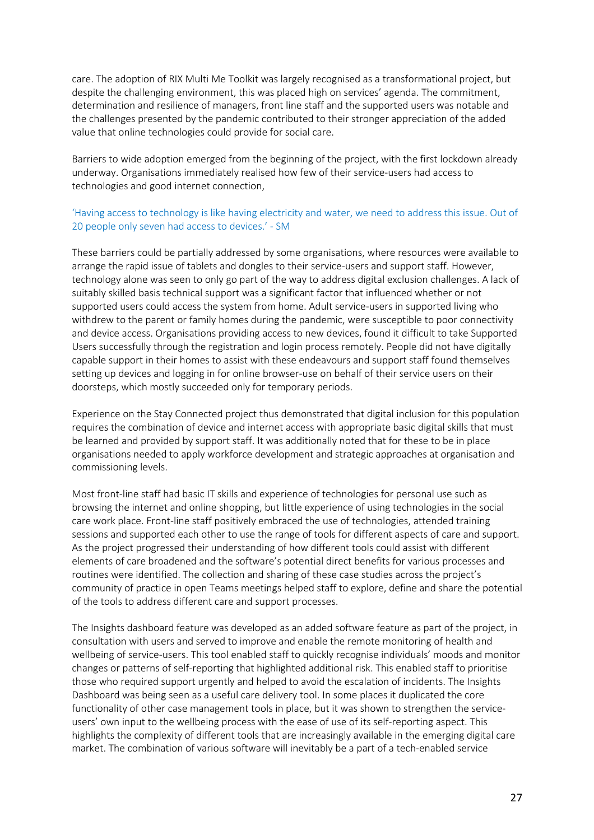care. The adoption of RIX Multi Me Toolkit was largely recognised as a transformational project, but despite the challenging environment, this was placed high on services' agenda. The commitment, determination and resilience of managers, front line staff and the supported users was notable and the challenges presented by the pandemic contributed to their stronger appreciation of the added value that online technologies could provide for social care.

Barriers to wide adoption emerged from the beginning of the project, with the first lockdown already underway. Organisations immediately realised how few of their service-users had access to technologies and good internet connection,

# 'Having access to technology is like having electricity and water, we need to address this issue. Out of 20 people only seven had access to devices.' - SM

These barriers could be partially addressed by some organisations, where resources were available to arrange the rapid issue of tablets and dongles to their service-users and support staff. However, technology alone was seen to only go part of the way to address digital exclusion challenges. A lack of suitably skilled basis technical support was a significant factor that influenced whether or not supported users could access the system from home. Adult service-users in supported living who withdrew to the parent or family homes during the pandemic, were susceptible to poor connectivity and device access. Organisations providing access to new devices, found it difficult to take Supported Users successfully through the registration and login process remotely. People did not have digitally capable support in their homes to assist with these endeavours and support staff found themselves setting up devices and logging in for online browser-use on behalf of their service users on their doorsteps, which mostly succeeded only for temporary periods.

Experience on the Stay Connected project thus demonstrated that digital inclusion for this population requires the combination of device and internet access with appropriate basic digital skills that must be learned and provided by support staff. It was additionally noted that for these to be in place organisations needed to apply workforce development and strategic approaches at organisation and commissioning levels.

Most front-line staff had basic IT skills and experience of technologies for personal use such as browsing the internet and online shopping, but little experience of using technologies in the social care work place. Front-line staff positively embraced the use of technologies, attended training sessions and supported each other to use the range of tools for different aspects of care and support. As the project progressed their understanding of how different tools could assist with different elements of care broadened and the software's potential direct benefits for various processes and routines were identified. The collection and sharing of these case studies across the project's community of practice in open Teams meetings helped staff to explore, define and share the potential of the tools to address different care and support processes.

The Insights dashboard feature was developed as an added software feature as part of the project, in consultation with users and served to improve and enable the remote monitoring of health and wellbeing of service-users. This tool enabled staff to quickly recognise individuals' moods and monitor changes or patterns of self-reporting that highlighted additional risk. This enabled staff to prioritise those who required support urgently and helped to avoid the escalation of incidents. The Insights Dashboard was being seen as a useful care delivery tool. In some places it duplicated the core functionality of other case management tools in place, but it was shown to strengthen the serviceusers' own input to the wellbeing process with the ease of use of its self-reporting aspect. This highlights the complexity of different tools that are increasingly available in the emerging digital care market. The combination of various software will inevitably be a part of a tech-enabled service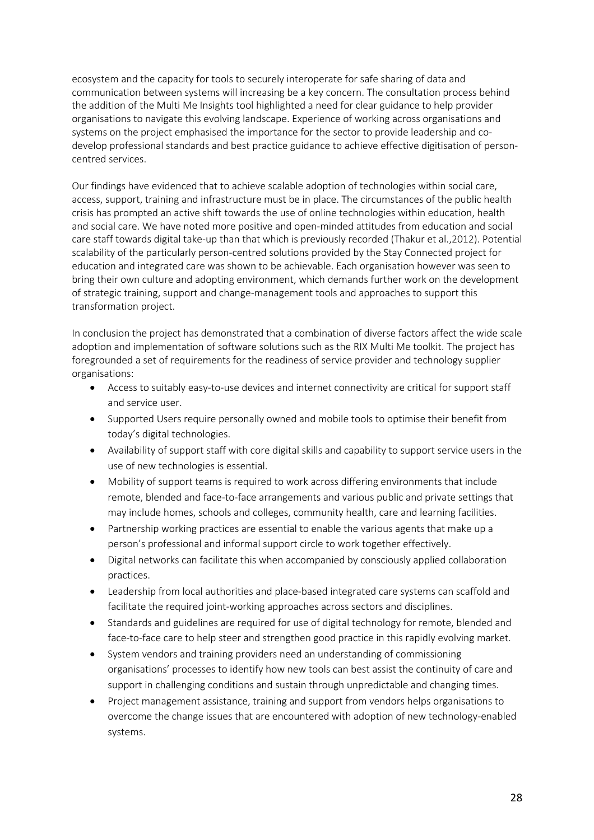ecosystem and the capacity for tools to securely interoperate for safe sharing of data and communication between systems will increasing be a key concern. The consultation process behind the addition of the Multi Me Insights tool highlighted a need for clear guidance to help provider organisations to navigate this evolving landscape. Experience of working across organisations and systems on the project emphasised the importance for the sector to provide leadership and codevelop professional standards and best practice guidance to achieve effective digitisation of personcentred services.

Our findings have evidenced that to achieve scalable adoption of technologies within social care, access, support, training and infrastructure must be in place. The circumstances of the public health crisis has prompted an active shift towards the use of online technologies within education, health and social care. We have noted more positive and open-minded attitudes from education and social care staff towards digital take-up than that which is previously recorded (Thakur et al.,2012). Potential scalability of the particularly person-centred solutions provided by the Stay Connected project for education and integrated care was shown to be achievable. Each organisation however was seen to bring their own culture and adopting environment, which demands further work on the development of strategic training, support and change-management tools and approaches to support this transformation project.

In conclusion the project has demonstrated that a combination of diverse factors affect the wide scale adoption and implementation of software solutions such as the RIX Multi Me toolkit. The project has foregrounded a set of requirements for the readiness of service provider and technology supplier organisations:

- Access to suitably easy-to-use devices and internet connectivity are critical for support staff and service user.
- Supported Users require personally owned and mobile tools to optimise their benefit from today's digital technologies.
- Availability of support staff with core digital skills and capability to support service users in the use of new technologies is essential.
- Mobility of support teams is required to work across differing environments that include remote, blended and face-to-face arrangements and various public and private settings that may include homes, schools and colleges, community health, care and learning facilities.
- Partnership working practices are essential to enable the various agents that make up a person's professional and informal support circle to work together effectively.
- Digital networks can facilitate this when accompanied by consciously applied collaboration practices.
- Leadership from local authorities and place-based integrated care systems can scaffold and facilitate the required joint-working approaches across sectors and disciplines.
- Standards and guidelines are required for use of digital technology for remote, blended and face-to-face care to help steer and strengthen good practice in this rapidly evolving market.
- System vendors and training providers need an understanding of commissioning organisations' processes to identify how new tools can best assist the continuity of care and support in challenging conditions and sustain through unpredictable and changing times.
- Project management assistance, training and support from vendors helps organisations to overcome the change issues that are encountered with adoption of new technology-enabled systems.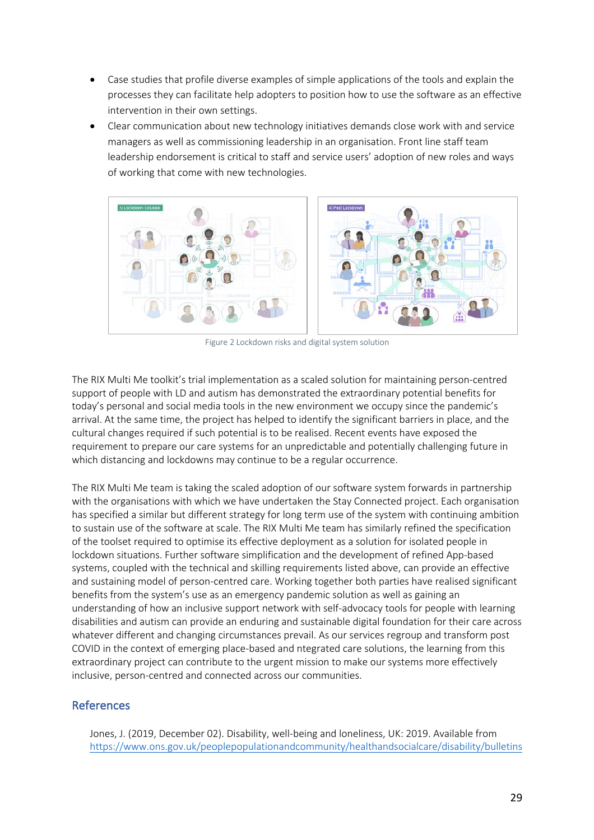- Case studies that profile diverse examples of simple applications of the tools and explain the processes they can facilitate help adopters to position how to use the software as an effective intervention in their own settings.
- Clear communication about new technology initiatives demands close work with and service managers as well as commissioning leadership in an organisation. Front line staff team leadership endorsement is critical to staff and service users' adoption of new roles and ways of working that come with new technologies.



Figure 2 Lockdown risks and digital system solution

The RIX Multi Me toolkit's trial implementation as a scaled solution for maintaining person-centred support of people with LD and autism has demonstrated the extraordinary potential benefits for today's personal and social media tools in the new environment we occupy since the pandemic's arrival. At the same time, the project has helped to identify the significant barriers in place, and the cultural changes required if such potential is to be realised. Recent events have exposed the requirement to prepare our care systems for an unpredictable and potentially challenging future in which distancing and lockdowns may continue to be a regular occurrence.

The RIX Multi Me team is taking the scaled adoption of our software system forwards in partnership with the organisations with which we have undertaken the Stay Connected project. Each organisation has specified a similar but different strategy for long term use of the system with continuing ambition to sustain use of the software at scale. The RIX Multi Me team has similarly refined the specification of the toolset required to optimise its effective deployment as a solution for isolated people in lockdown situations. Further software simplification and the development of refined App-based systems, coupled with the technical and skilling requirements listed above, can provide an effective and sustaining model of person-centred care. Working together both parties have realised significant benefits from the system's use as an emergency pandemic solution as well as gaining an understanding of how an inclusive support network with self-advocacy tools for people with learning disabilities and autism can provide an enduring and sustainable digital foundation for their care across whatever different and changing circumstances prevail. As our services regroup and transform post COVID in the context of emerging place-based and ntegrated care solutions, the learning from this extraordinary project can contribute to the urgent mission to make our systems more effectively inclusive, person-centred and connected across our communities.

# References

Jones, J. (2019, December 02). Disability, well-being and loneliness, UK: 2019. Available from https://www.ons.gov.uk/peoplepopulationandcommunity/healthandsocialcare/disability/bulletins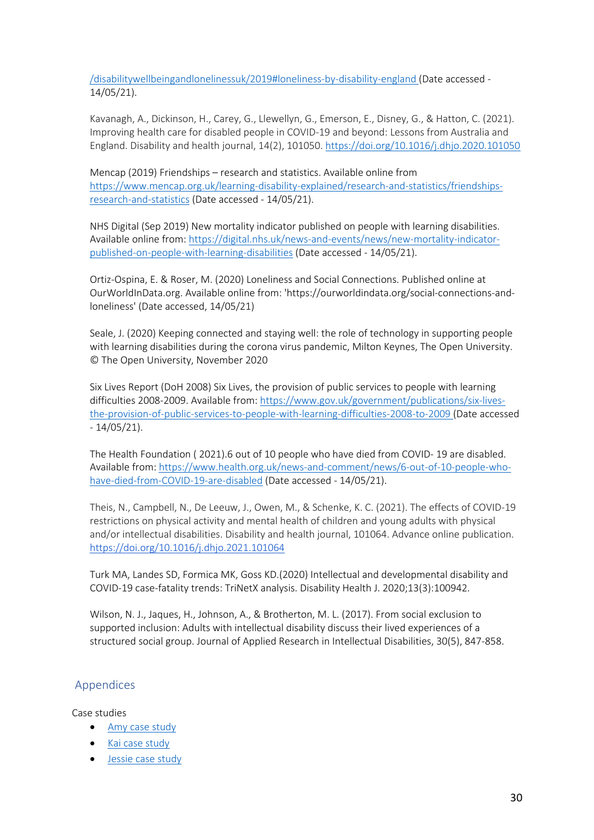/disabilitywellbeingandlonelinessuk/2019#loneliness-by-disability-england (Date accessed - 14/05/21).

Kavanagh, A., Dickinson, H., Carey, G., Llewellyn, G., Emerson, E., Disney, G., & Hatton, C. (2021). Improving health care for disabled people in COVID-19 and beyond: Lessons from Australia and England. Disability and health journal, 14(2), 101050. https://doi.org/10.1016/j.dhjo.2020.101050

Mencap (2019) Friendships – research and statistics. Available online from https://www.mencap.org.uk/learning-disability-explained/research-and-statistics/friendshipsresearch-and-statistics (Date accessed - 14/05/21).

NHS Digital (Sep 2019) New mortality indicator published on people with learning disabilities. Available online from: https://digital.nhs.uk/news-and-events/news/new-mortality-indicatorpublished-on-people-with-learning-disabilities (Date accessed - 14/05/21).

Ortiz-Ospina, E. & Roser, M. (2020) Loneliness and Social Connections. Published online at OurWorldInData.org. Available online from: 'https://ourworldindata.org/social-connections-andloneliness' (Date accessed, 14/05/21)

Seale, J. (2020) Keeping connected and staying well: the role of technology in supporting people with learning disabilities during the corona virus pandemic, Milton Keynes, The Open University. © The Open University, November 2020

Six Lives Report (DoH 2008) Six Lives, the provision of public services to people with learning difficulties 2008-2009. Available from: https://www.gov.uk/government/publications/six-livesthe-provision-of-public-services-to-people-with-learning-difficulties-2008-to-2009 (Date accessed - 14/05/21).

The Health Foundation ( 2021).6 out of 10 people who have died from COVID- 19 are disabled. Available from: https://www.health.org.uk/news-and-comment/news/6-out-of-10-people-whohave-died-from-COVID-19-are-disabled (Date accessed - 14/05/21).

Theis, N., Campbell, N., De Leeuw, J., Owen, M., & Schenke, K. C. (2021). The effects of COVID-19 restrictions on physical activity and mental health of children and young adults with physical and/or intellectual disabilities. Disability and health journal, 101064. Advance online publication. https://doi.org/10.1016/j.dhjo.2021.101064

Turk MA, Landes SD, Formica MK, Goss KD.(2020) Intellectual and developmental disability and COVID-19 case-fatality trends: TriNetX analysis. Disability Health J. 2020;13(3):100942.

Wilson, N. J., Jaques, H., Johnson, A., & Brotherton, M. L. (2017). From social exclusion to supported inclusion: Adults with intellectual disability discuss their lived experiences of a structured social group. Journal of Applied Research in Intellectual Disabilities, 30(5), 847-858.

# Appendices

Case studies

- Amy case study
- Kai case study
- Jessie case study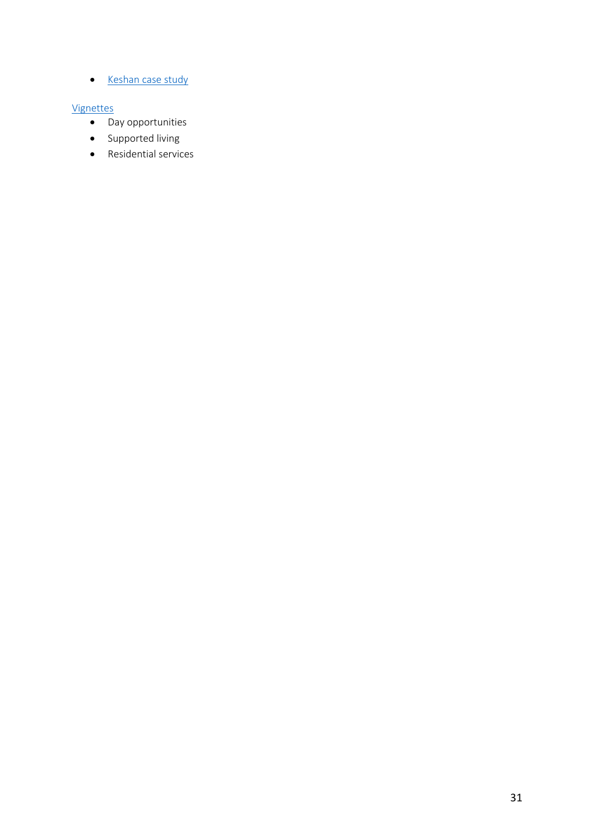• Keshan case study

#### Vignettes

- Day opportunities
- Supported living
- Residential services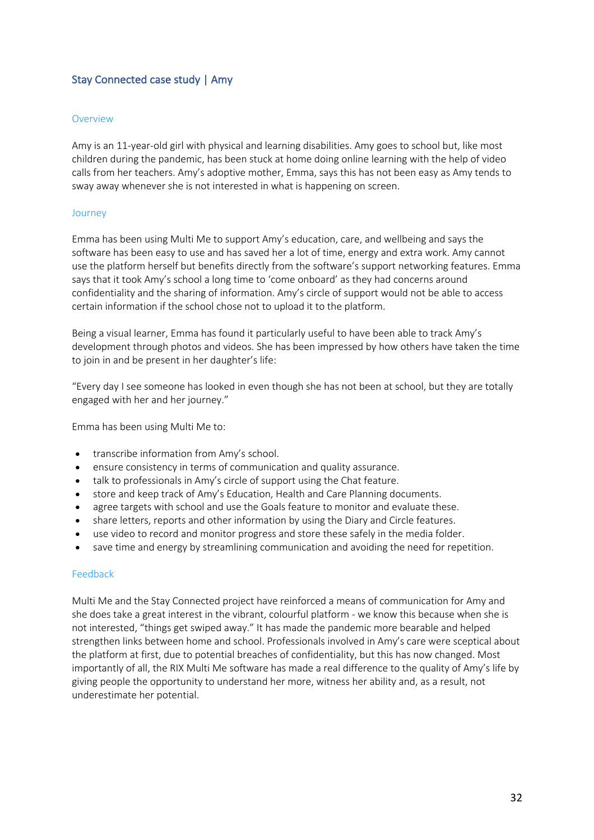# Stay Connected case study | Amy

#### **Overview**

Amy is an 11-year-old girl with physical and learning disabilities. Amy goes to school but, like most children during the pandemic, has been stuck at home doing online learning with the help of video calls from her teachers. Amy's adoptive mother, Emma, says this has not been easy as Amy tends to sway away whenever she is not interested in what is happening on screen.

#### Journey

Emma has been using Multi Me to support Amy's education, care, and wellbeing and says the software has been easy to use and has saved her a lot of time, energy and extra work. Amy cannot use the platform herself but benefits directly from the software's support networking features. Emma says that it took Amy's school a long time to 'come onboard' as they had concerns around confidentiality and the sharing of information. Amy's circle of support would not be able to access certain information if the school chose not to upload it to the platform.

Being a visual learner, Emma has found it particularly useful to have been able to track Amy's development through photos and videos. She has been impressed by how others have taken the time to join in and be present in her daughter's life:

"Every day I see someone has looked in even though she has not been at school, but they are totally engaged with her and her journey."

Emma has been using Multi Me to:

- transcribe information from Amy's school.
- ensure consistency in terms of communication and quality assurance.
- talk to professionals in Amy's circle of support using the Chat feature.
- store and keep track of Amy's Education, Health and Care Planning documents.
- agree targets with school and use the Goals feature to monitor and evaluate these.
- share letters, reports and other information by using the Diary and Circle features.
- use video to record and monitor progress and store these safely in the media folder.
- save time and energy by streamlining communication and avoiding the need for repetition.

#### Feedback

Multi Me and the Stay Connected project have reinforced a means of communication for Amy and she does take a great interest in the vibrant, colourful platform - we know this because when she is not interested, "things get swiped away." It has made the pandemic more bearable and helped strengthen links between home and school. Professionals involved in Amy's care were sceptical about the platform at first, due to potential breaches of confidentiality, but this has now changed. Most importantly of all, the RIX Multi Me software has made a real difference to the quality of Amy's life by giving people the opportunity to understand her more, witness her ability and, as a result, not underestimate her potential.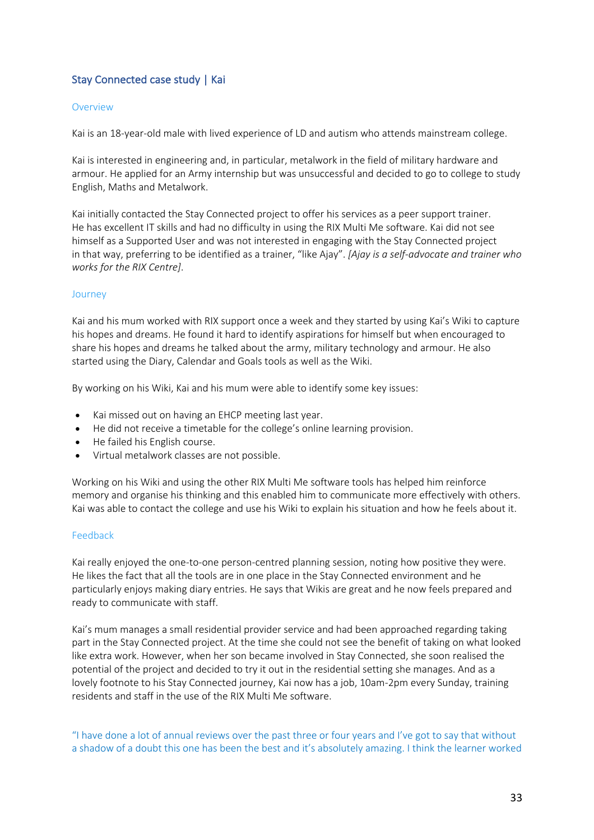# Stay Connected case study | Kai

#### Overview

Kai is an 18-year-old male with lived experience of LD and autism who attends mainstream college.

Kai is interested in engineering and, in particular, metalwork in the field of military hardware and armour. He applied for an Army internship but was unsuccessful and decided to go to college to study English, Maths and Metalwork.

Kai initially contacted the Stay Connected project to offer his services as a peer support trainer. He has excellent IT skills and had no difficulty in using the RIX Multi Me software. Kai did not see himself as a Supported User and was not interested in engaging with the Stay Connected project in that way, preferring to be identified as a trainer, "like Ajay". *[Ajay is a self-advocate and trainer who works for the RIX Centre]*.

#### Journey

Kai and his mum worked with RIX support once a week and they started by using Kai's Wiki to capture his hopes and dreams. He found it hard to identify aspirations for himself but when encouraged to share his hopes and dreams he talked about the army, military technology and armour. He also started using the Diary, Calendar and Goals tools as well as the Wiki.

By working on his Wiki, Kai and his mum were able to identify some key issues:

- Kai missed out on having an EHCP meeting last year.
- He did not receive a timetable for the college's online learning provision.
- He failed his English course.
- Virtual metalwork classes are not possible.

Working on his Wiki and using the other RIX Multi Me software tools has helped him reinforce memory and organise his thinking and this enabled him to communicate more effectively with others. Kai was able to contact the college and use his Wiki to explain his situation and how he feels about it.

#### Feedback

Kai really enjoyed the one-to-one person-centred planning session, noting how positive they were. He likes the fact that all the tools are in one place in the Stay Connected environment and he particularly enjoys making diary entries. He says that Wikis are great and he now feels prepared and ready to communicate with staff.

Kai's mum manages a small residential provider service and had been approached regarding taking part in the Stay Connected project. At the time she could not see the benefit of taking on what looked like extra work. However, when her son became involved in Stay Connected, she soon realised the potential of the project and decided to try it out in the residential setting she manages. And as a lovely footnote to his Stay Connected journey, Kai now has a job, 10am-2pm every Sunday, training residents and staff in the use of the RIX Multi Me software.

"I have done a lot of annual reviews over the past three or four years and I've got to say that without a shadow of a doubt this one has been the best and it's absolutely amazing. I think the learner worked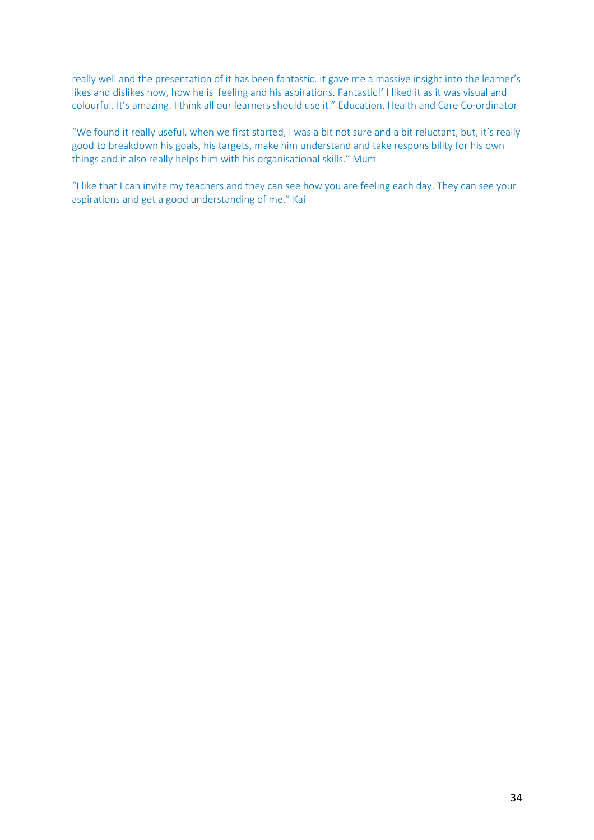really well and the presentation of it has been fantastic. It gave me a massive insight into the learner's likes and dislikes now, how he is feeling and his aspirations. Fantastic!' I liked it as it was visual and colourful. It's amazing. I think all our learners should use it." Education, Health and Care Co-ordinator

"We found it really useful, when we first started, I was a bit not sure and a bit reluctant, but, it's really good to breakdown his goals, his targets, make him understand and take responsibility for his own things and it also really helps him with his organisational skills." Mum

"I like that I can invite my teachers and they can see how you are feeling each day. They can see your aspirations and get a good understanding of me." Kai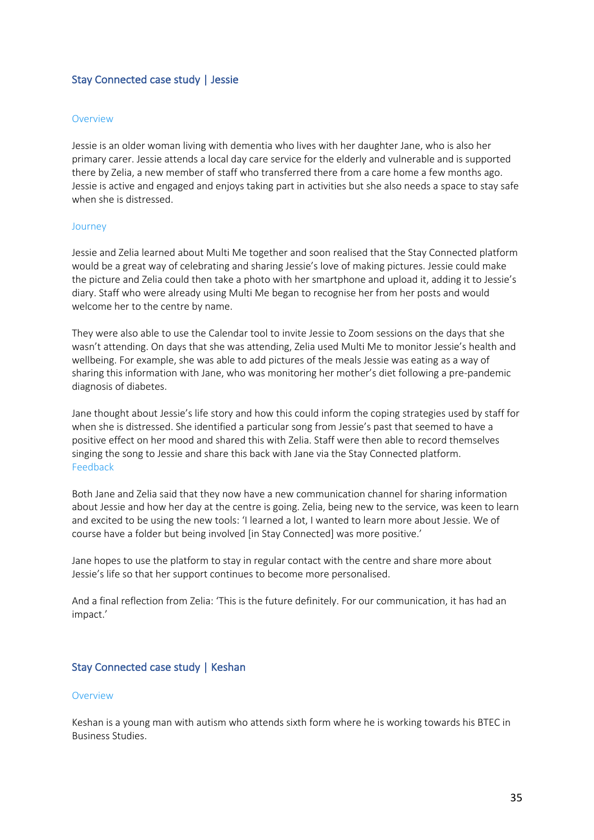# Stay Connected case study | Jessie

#### **Overview**

Jessie is an older woman living with dementia who lives with her daughter Jane, who is also her primary carer. Jessie attends a local day care service for the elderly and vulnerable and is supported there by Zelia, a new member of staff who transferred there from a care home a few months ago. Jessie is active and engaged and enjoys taking part in activities but she also needs a space to stay safe when she is distressed.

#### Journey

Jessie and Zelia learned about Multi Me together and soon realised that the Stay Connected platform would be a great way of celebrating and sharing Jessie's love of making pictures. Jessie could make the picture and Zelia could then take a photo with her smartphone and upload it, adding it to Jessie's diary. Staff who were already using Multi Me began to recognise her from her posts and would welcome her to the centre by name.

They were also able to use the Calendar tool to invite Jessie to Zoom sessions on the days that she wasn't attending. On days that she was attending, Zelia used Multi Me to monitor Jessie's health and wellbeing. For example, she was able to add pictures of the meals Jessie was eating as a way of sharing this information with Jane, who was monitoring her mother's diet following a pre-pandemic diagnosis of diabetes.

Jane thought about Jessie's life story and how this could inform the coping strategies used by staff for when she is distressed. She identified a particular song from Jessie's past that seemed to have a positive effect on her mood and shared this with Zelia. Staff were then able to record themselves singing the song to Jessie and share this back with Jane via the Stay Connected platform. Feedback

Both Jane and Zelia said that they now have a new communication channel for sharing information about Jessie and how her day at the centre is going. Zelia, being new to the service, was keen to learn and excited to be using the new tools: 'I learned a lot, I wanted to learn more about Jessie. We of course have a folder but being involved [in Stay Connected] was more positive.'

Jane hopes to use the platform to stay in regular contact with the centre and share more about Jessie's life so that her support continues to become more personalised.

And a final reflection from Zelia: 'This is the future definitely. For our communication, it has had an impact.'

#### Stay Connected case study | Keshan

#### **Overview**

Keshan is a young man with autism who attends sixth form where he is working towards his BTEC in Business Studies.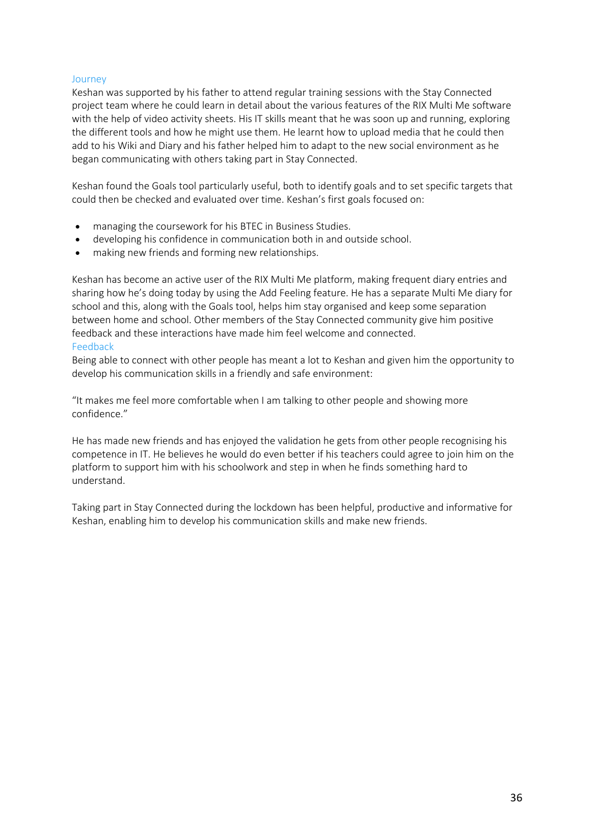#### Journey

Keshan was supported by his father to attend regular training sessions with the Stay Connected project team where he could learn in detail about the various features of the RIX Multi Me software with the help of video activity sheets. His IT skills meant that he was soon up and running, exploring the different tools and how he might use them. He learnt how to upload media that he could then add to his Wiki and Diary and his father helped him to adapt to the new social environment as he began communicating with others taking part in Stay Connected.

Keshan found the Goals tool particularly useful, both to identify goals and to set specific targets that could then be checked and evaluated over time. Keshan's first goals focused on:

- managing the coursework for his BTEC in Business Studies.
- developing his confidence in communication both in and outside school.
- making new friends and forming new relationships.

Keshan has become an active user of the RIX Multi Me platform, making frequent diary entries and sharing how he's doing today by using the Add Feeling feature. He has a separate Multi Me diary for school and this, along with the Goals tool, helps him stay organised and keep some separation between home and school. Other members of the Stay Connected community give him positive feedback and these interactions have made him feel welcome and connected. Feedback

Being able to connect with other people has meant a lot to Keshan and given him the opportunity to develop his communication skills in a friendly and safe environment:

"It makes me feel more comfortable when I am talking to other people and showing more confidence."

He has made new friends and has enjoyed the validation he gets from other people recognising his competence in IT. He believes he would do even better if his teachers could agree to join him on the platform to support him with his schoolwork and step in when he finds something hard to understand.

Taking part in Stay Connected during the lockdown has been helpful, productive and informative for Keshan, enabling him to develop his communication skills and make new friends.